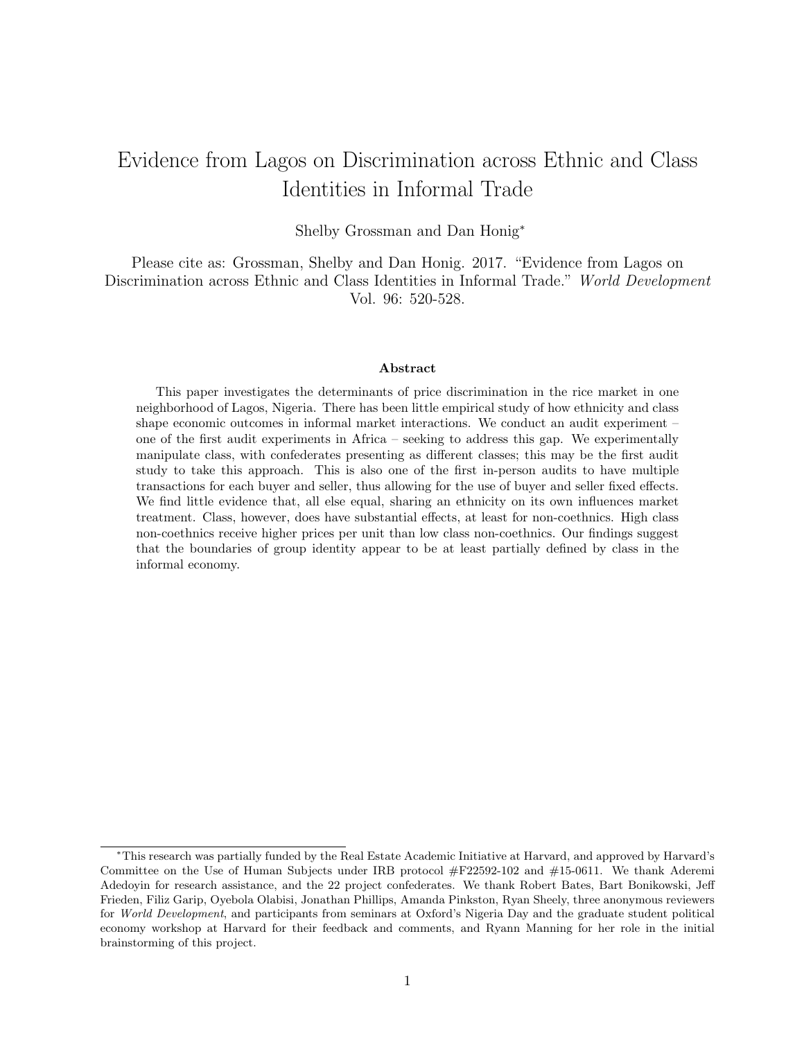# Evidence from Lagos on Discrimination across Ethnic and Class Identities in Informal Trade

Shelby Grossman and Dan Honig<sup>∗</sup>

Please cite as: Grossman, Shelby and Dan Honig. 2017. "Evidence from Lagos on Discrimination across Ethnic and Class Identities in Informal Trade." World Development Vol. 96: 520-528.

#### Abstract

This paper investigates the determinants of price discrimination in the rice market in one neighborhood of Lagos, Nigeria. There has been little empirical study of how ethnicity and class shape economic outcomes in informal market interactions. We conduct an audit experiment – one of the first audit experiments in Africa – seeking to address this gap. We experimentally manipulate class, with confederates presenting as different classes; this may be the first audit study to take this approach. This is also one of the first in-person audits to have multiple transactions for each buyer and seller, thus allowing for the use of buyer and seller fixed effects. We find little evidence that, all else equal, sharing an ethnicity on its own influences market treatment. Class, however, does have substantial effects, at least for non-coethnics. High class non-coethnics receive higher prices per unit than low class non-coethnics. Our findings suggest that the boundaries of group identity appear to be at least partially defined by class in the informal economy.

<sup>∗</sup>This research was partially funded by the Real Estate Academic Initiative at Harvard, and approved by Harvard's Committee on the Use of Human Subjects under IRB protocol #F22592-102 and #15-0611. We thank Aderemi Adedoyin for research assistance, and the 22 project confederates. We thank Robert Bates, Bart Bonikowski, Jeff Frieden, Filiz Garip, Oyebola Olabisi, Jonathan Phillips, Amanda Pinkston, Ryan Sheely, three anonymous reviewers for World Development, and participants from seminars at Oxford's Nigeria Day and the graduate student political economy workshop at Harvard for their feedback and comments, and Ryann Manning for her role in the initial brainstorming of this project.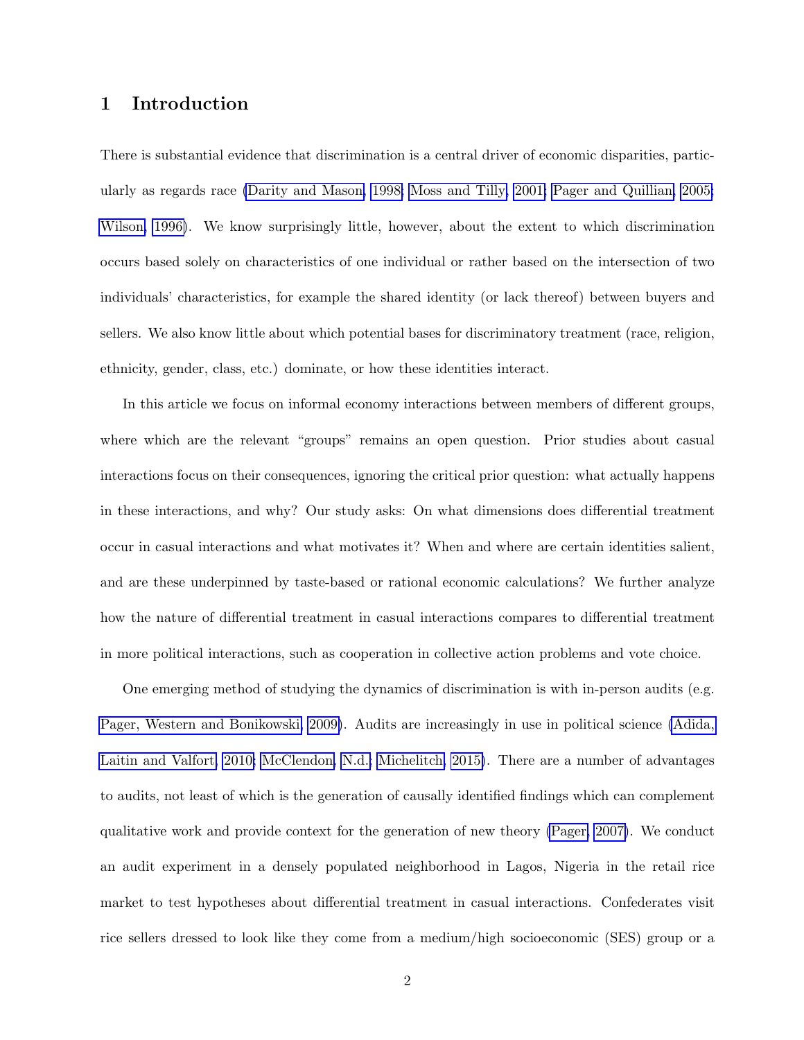## 1 Introduction

There is substantial evidence that discrimination is a central driver of economic disparities, particularly as regards race [\(Darity and Mason, 1998;](#page-22-0) [Moss and Tilly, 2001;](#page-24-0) [Pager and Quillian, 2005;](#page-25-0) [Wilson, 1996\)](#page-26-0). We know surprisingly little, however, about the extent to which discrimination occurs based solely on characteristics of one individual or rather based on the intersection of two individuals' characteristics, for example the shared identity (or lack thereof) between buyers and sellers. We also know little about which potential bases for discriminatory treatment (race, religion, ethnicity, gender, class, etc.) dominate, or how these identities interact.

In this article we focus on informal economy interactions between members of different groups, where which are the relevant "groups" remains an open question. Prior studies about casual interactions focus on their consequences, ignoring the critical prior question: what actually happens in these interactions, and why? Our study asks: On what dimensions does differential treatment occur in casual interactions and what motivates it? When and where are certain identities salient, and are these underpinned by taste-based or rational economic calculations? We further analyze how the nature of differential treatment in casual interactions compares to differential treatment in more political interactions, such as cooperation in collective action problems and vote choice.

One emerging method of studying the dynamics of discrimination is with in-person audits (e.g. [Pager, Western and Bonikowski, 2009\)](#page-25-1). Audits are increasingly in use in political science [\(Adida,](#page-20-0) [Laitin and Valfort, 2010;](#page-20-0) [McClendon, N.d.;](#page-24-1) [Michelitch, 2015\)](#page-24-2). There are a number of advantages to audits, not least of which is the generation of causally identified findings which can complement qualitative work and provide context for the generation of new theory [\(Pager, 2007\)](#page-24-3). We conduct an audit experiment in a densely populated neighborhood in Lagos, Nigeria in the retail rice market to test hypotheses about differential treatment in casual interactions. Confederates visit rice sellers dressed to look like they come from a medium/high socioeconomic (SES) group or a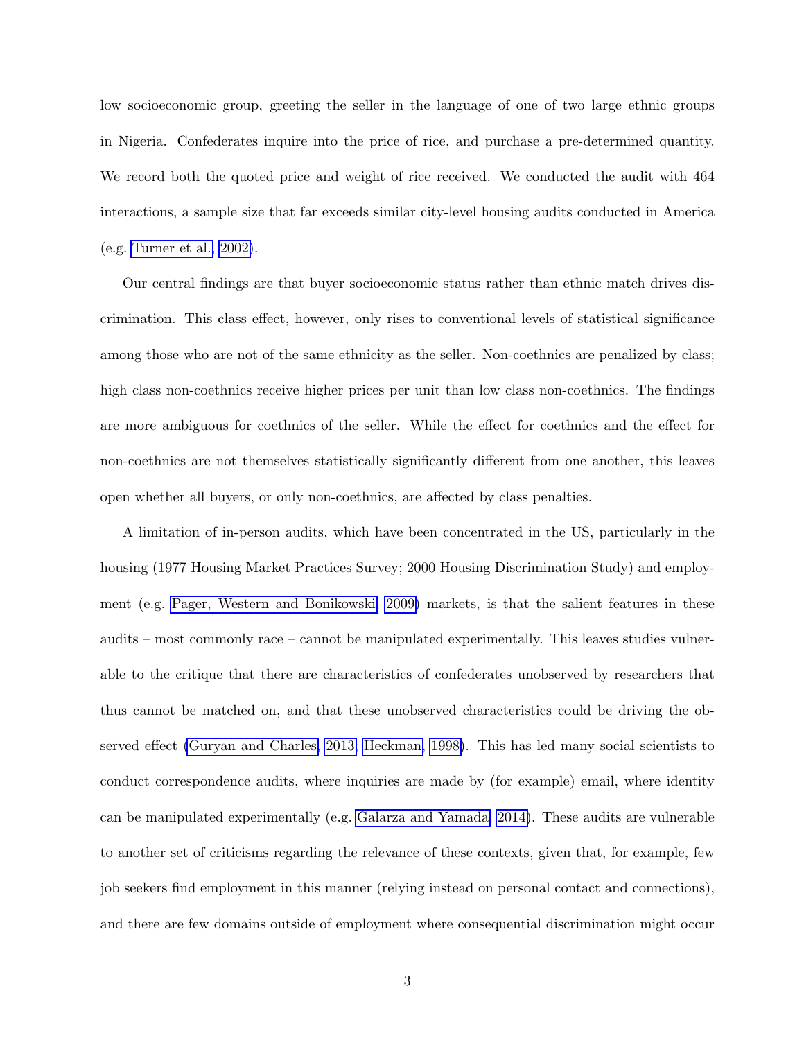low socioeconomic group, greeting the seller in the language of one of two large ethnic groups in Nigeria. Confederates inquire into the price of rice, and purchase a pre-determined quantity. We record both the quoted price and weight of rice received. We conducted the audit with 464 interactions, a sample size that far exceeds similar city-level housing audits conducted in America (e.g. [Turner et al., 2002\)](#page-25-2).

Our central findings are that buyer socioeconomic status rather than ethnic match drives discrimination. This class effect, however, only rises to conventional levels of statistical significance among those who are not of the same ethnicity as the seller. Non-coethnics are penalized by class; high class non-coethnics receive higher prices per unit than low class non-coethnics. The findings are more ambiguous for coethnics of the seller. While the effect for coethnics and the effect for non-coethnics are not themselves statistically significantly different from one another, this leaves open whether all buyers, or only non-coethnics, are affected by class penalties.

A limitation of in-person audits, which have been concentrated in the US, particularly in the housing (1977 Housing Market Practices Survey; 2000 Housing Discrimination Study) and employment (e.g. [Pager, Western and Bonikowski, 2009\)](#page-25-1) markets, is that the salient features in these audits – most commonly race – cannot be manipulated experimentally. This leaves studies vulnerable to the critique that there are characteristics of confederates unobserved by researchers that thus cannot be matched on, and that these unobserved characteristics could be driving the observed effect [\(Guryan and Charles, 2013;](#page-23-0) [Heckman, 1998\)](#page-23-1). This has led many social scientists to conduct correspondence audits, where inquiries are made by (for example) email, where identity can be manipulated experimentally (e.g. [Galarza and Yamada, 2014\)](#page-22-1). These audits are vulnerable to another set of criticisms regarding the relevance of these contexts, given that, for example, few job seekers find employment in this manner (relying instead on personal contact and connections), and there are few domains outside of employment where consequential discrimination might occur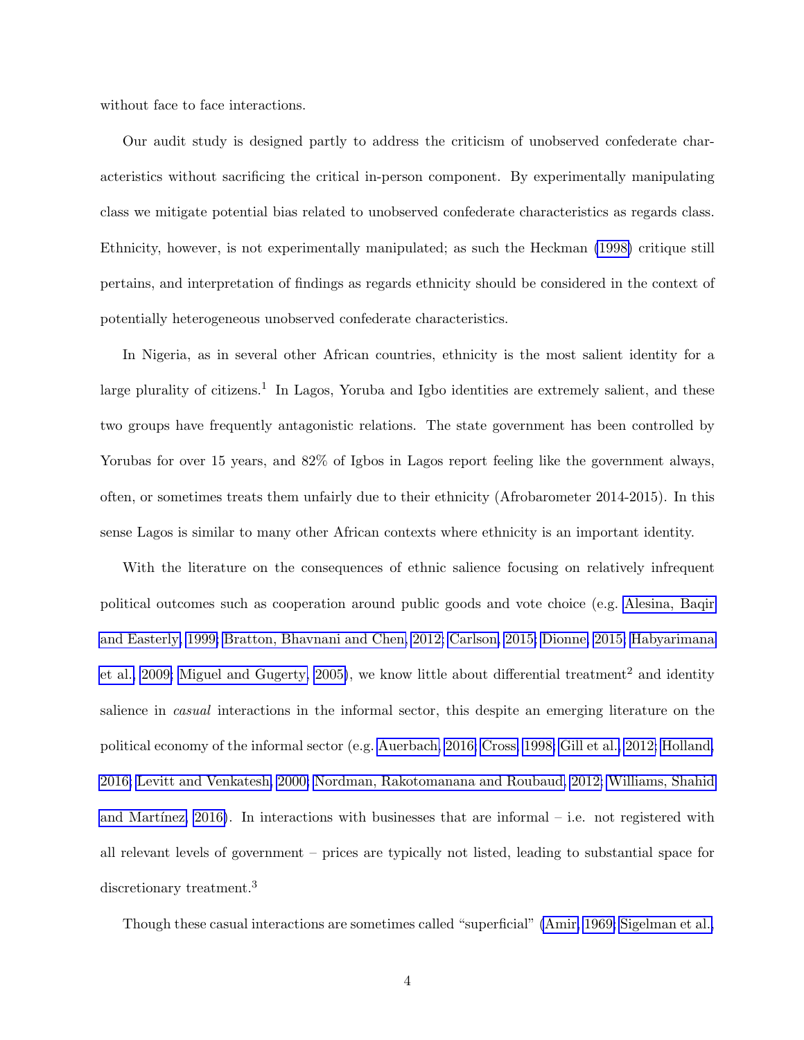without face to face interactions.

Our audit study is designed partly to address the criticism of unobserved confederate characteristics without sacrificing the critical in-person component. By experimentally manipulating class we mitigate potential bias related to unobserved confederate characteristics as regards class. Ethnicity, however, is not experimentally manipulated; as such the Heckman [\(1998\)](#page-23-1) critique still pertains, and interpretation of findings as regards ethnicity should be considered in the context of potentially heterogeneous unobserved confederate characteristics.

In Nigeria, as in several other African countries, ethnicity is the most salient identity for a large plurality of citizens.<sup>1</sup> In Lagos, Yoruba and Igbo identities are extremely salient, and these two groups have frequently antagonistic relations. The state government has been controlled by Yorubas for over 15 years, and  $82\%$  of Igbos in Lagos report feeling like the government always, often, or sometimes treats them unfairly due to their ethnicity (Afrobarometer 2014-2015). In this sense Lagos is similar to many other African contexts where ethnicity is an important identity.

With the literature on the consequences of ethnic salience focusing on relatively infrequent political outcomes such as cooperation around public goods and vote choice (e.g. [Alesina, Baqir](#page-20-1) [and Easterly, 1999;](#page-20-1) [Bratton, Bhavnani and Chen, 2012;](#page-21-0) [Carlson, 2015;](#page-21-1) [Dionne, 2015;](#page-22-2) [Habyarimana](#page-23-2) [et al., 2009;](#page-23-2) [Miguel and Gugerty, 2005\)](#page-24-4), we know little about differential treatment<sup>2</sup> and identity salience in casual interactions in the informal sector, this despite an emerging literature on the political economy of the informal sector (e.g. [Auerbach, 2016;](#page-20-2) [Cross, 1998;](#page-21-2) [Gill et al., 2012;](#page-23-3) [Holland,](#page-23-4) [2016;](#page-23-4) [Levitt and Venkatesh, 2000;](#page-24-5) [Nordman, Rakotomanana and Roubaud, 2012;](#page-24-6) [Williams, Shahid](#page-26-1) and Martínez,  $2016$ ). In interactions with businesses that are informal – i.e. not registered with all relevant levels of government – prices are typically not listed, leading to substantial space for discretionary treatment.<sup>3</sup>

Though these casual interactions are sometimes called "superficial" [\(Amir, 1969;](#page-20-3) [Sigelman et al.,](#page-25-3)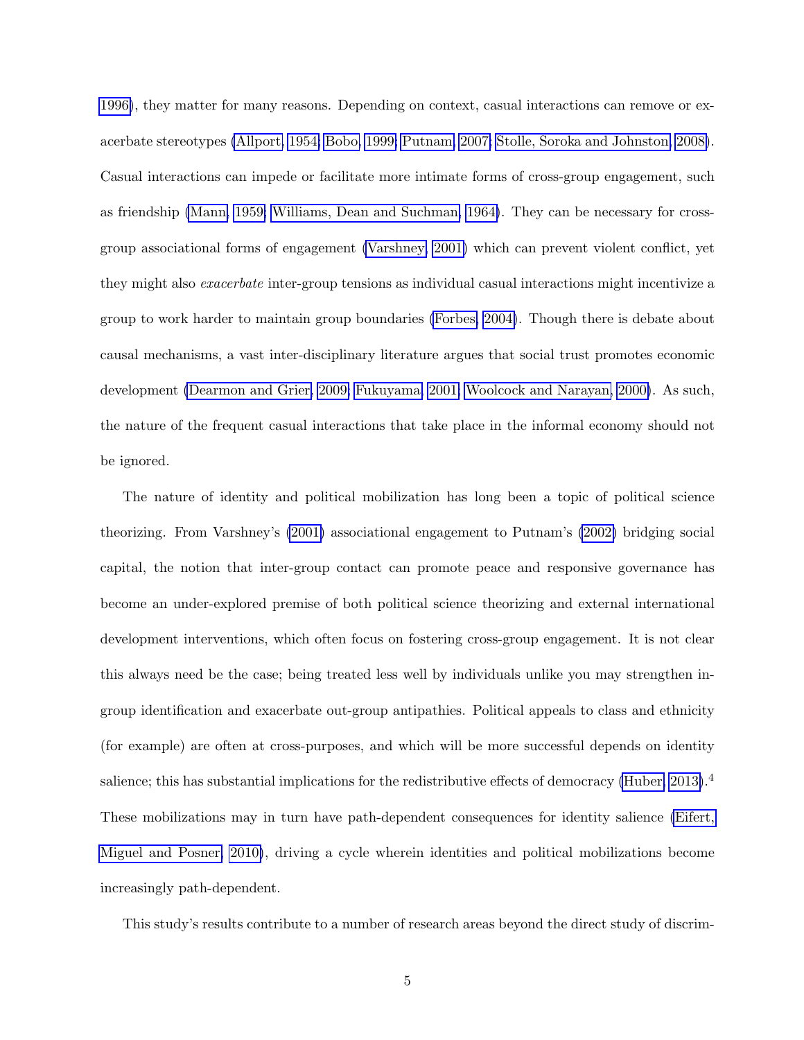[1996\)](#page-25-3), they matter for many reasons. Depending on context, casual interactions can remove or exacerbate stereotypes [\(Allport, 1954;](#page-20-4) [Bobo, 1999;](#page-21-3) [Putnam, 2007;](#page-25-4) [Stolle, Soroka and Johnston, 2008\)](#page-25-5). Casual interactions can impede or facilitate more intimate forms of cross-group engagement, such as friendship [\(Mann, 1959;](#page-24-7) [Williams, Dean and Suchman, 1964\)](#page-26-2). They can be necessary for crossgroup associational forms of engagement [\(Varshney, 2001\)](#page-25-6) which can prevent violent conflict, yet they might also exacerbate inter-group tensions as individual casual interactions might incentivize a group to work harder to maintain group boundaries [\(Forbes, 2004\)](#page-22-3). Though there is debate about causal mechanisms, a vast inter-disciplinary literature argues that social trust promotes economic development [\(Dearmon and Grier, 2009;](#page-22-4) [Fukuyama, 2001;](#page-22-5) [Woolcock and Narayan, 2000\)](#page-26-3). As such, the nature of the frequent casual interactions that take place in the informal economy should not be ignored.

The nature of identity and political mobilization has long been a topic of political science theorizing. From Varshney's [\(2001\)](#page-25-6) associational engagement to Putnam's [\(2002\)](#page-25-7) bridging social capital, the notion that inter-group contact can promote peace and responsive governance has become an under-explored premise of both political science theorizing and external international development interventions, which often focus on fostering cross-group engagement. It is not clear this always need be the case; being treated less well by individuals unlike you may strengthen ingroup identification and exacerbate out-group antipathies. Political appeals to class and ethnicity (for example) are often at cross-purposes, and which will be more successful depends on identity salience; this has substantial implications for the redistributive effects of democracy [\(Huber, 2013\)](#page-23-5).<sup>4</sup> These mobilizations may in turn have path-dependent consequences for identity salience [\(Eifert,](#page-22-6) [Miguel and Posner, 2010\)](#page-22-6), driving a cycle wherein identities and political mobilizations become increasingly path-dependent.

This study's results contribute to a number of research areas beyond the direct study of discrim-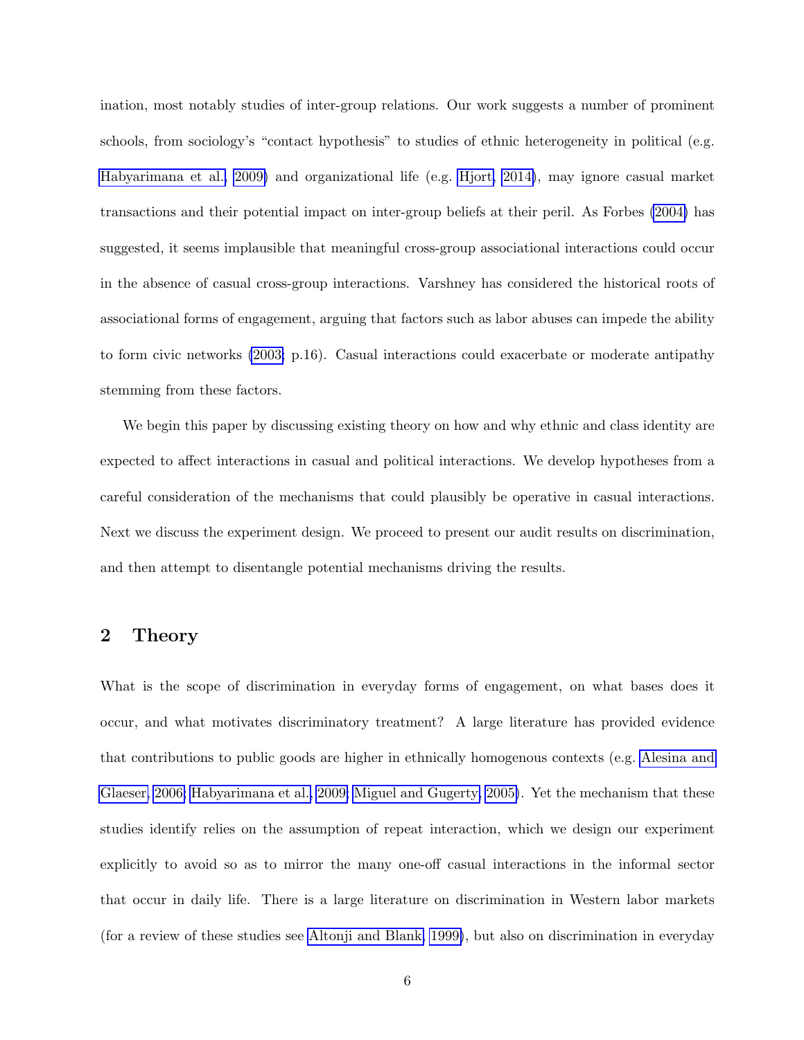ination, most notably studies of inter-group relations. Our work suggests a number of prominent schools, from sociology's "contact hypothesis" to studies of ethnic heterogeneity in political (e.g. [Habyarimana et al., 2009\)](#page-23-2) and organizational life (e.g. [Hjort, 2014\)](#page-23-6), may ignore casual market transactions and their potential impact on inter-group beliefs at their peril. As Forbes [\(2004\)](#page-22-3) has suggested, it seems implausible that meaningful cross-group associational interactions could occur in the absence of casual cross-group interactions. Varshney has considered the historical roots of associational forms of engagement, arguing that factors such as labor abuses can impede the ability to form civic networks [\(2003;](#page-26-4) p.16). Casual interactions could exacerbate or moderate antipathy stemming from these factors.

We begin this paper by discussing existing theory on how and why ethnic and class identity are expected to affect interactions in casual and political interactions. We develop hypotheses from a careful consideration of the mechanisms that could plausibly be operative in casual interactions. Next we discuss the experiment design. We proceed to present our audit results on discrimination, and then attempt to disentangle potential mechanisms driving the results.

### 2 Theory

What is the scope of discrimination in everyday forms of engagement, on what bases does it occur, and what motivates discriminatory treatment? A large literature has provided evidence that contributions to public goods are higher in ethnically homogenous contexts (e.g. [Alesina and](#page-20-5) [Glaeser, 2006;](#page-20-5) [Habyarimana et al., 2009;](#page-23-2) [Miguel and Gugerty, 2005\)](#page-24-4). Yet the mechanism that these studies identify relies on the assumption of repeat interaction, which we design our experiment explicitly to avoid so as to mirror the many one-off casual interactions in the informal sector that occur in daily life. There is a large literature on discrimination in Western labor markets (for a review of these studies see [Altonji and Blank, 1999\)](#page-20-6), but also on discrimination in everyday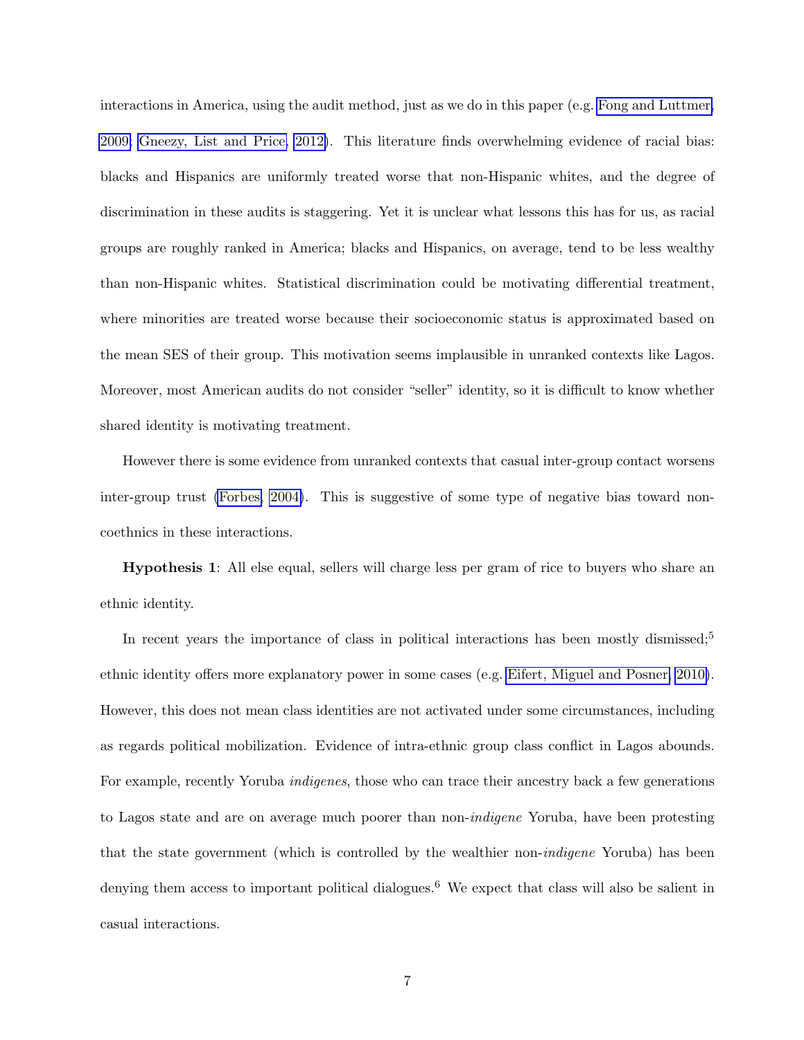interactions in America, using the audit method, just as we do in this paper (e.g. [Fong and Luttmer,](#page-22-7) [2009;](#page-22-7) [Gneezy, List and Price, 2012\)](#page-23-7). This literature finds overwhelming evidence of racial bias: blacks and Hispanics are uniformly treated worse that non-Hispanic whites, and the degree of discrimination in these audits is staggering. Yet it is unclear what lessons this has for us, as racial groups are roughly ranked in America; blacks and Hispanics, on average, tend to be less wealthy than non-Hispanic whites. Statistical discrimination could be motivating differential treatment, where minorities are treated worse because their socioeconomic status is approximated based on the mean SES of their group. This motivation seems implausible in unranked contexts like Lagos. Moreover, most American audits do not consider "seller" identity, so it is difficult to know whether shared identity is motivating treatment.

However there is some evidence from unranked contexts that casual inter-group contact worsens inter-group trust [\(Forbes, 2004\)](#page-22-3). This is suggestive of some type of negative bias toward noncoethnics in these interactions.

Hypothesis 1: All else equal, sellers will charge less per gram of rice to buyers who share an ethnic identity.

In recent years the importance of class in political interactions has been mostly dismissed;<sup>5</sup> ethnic identity offers more explanatory power in some cases (e.g. [Eifert, Miguel and Posner, 2010\)](#page-22-6). However, this does not mean class identities are not activated under some circumstances, including as regards political mobilization. Evidence of intra-ethnic group class conflict in Lagos abounds. For example, recently Yoruba indigenes, those who can trace their ancestry back a few generations to Lagos state and are on average much poorer than non-indigene Yoruba, have been protesting that the state government (which is controlled by the wealthier non-indigene Yoruba) has been denying them access to important political dialogues.<sup>6</sup> We expect that class will also be salient in casual interactions.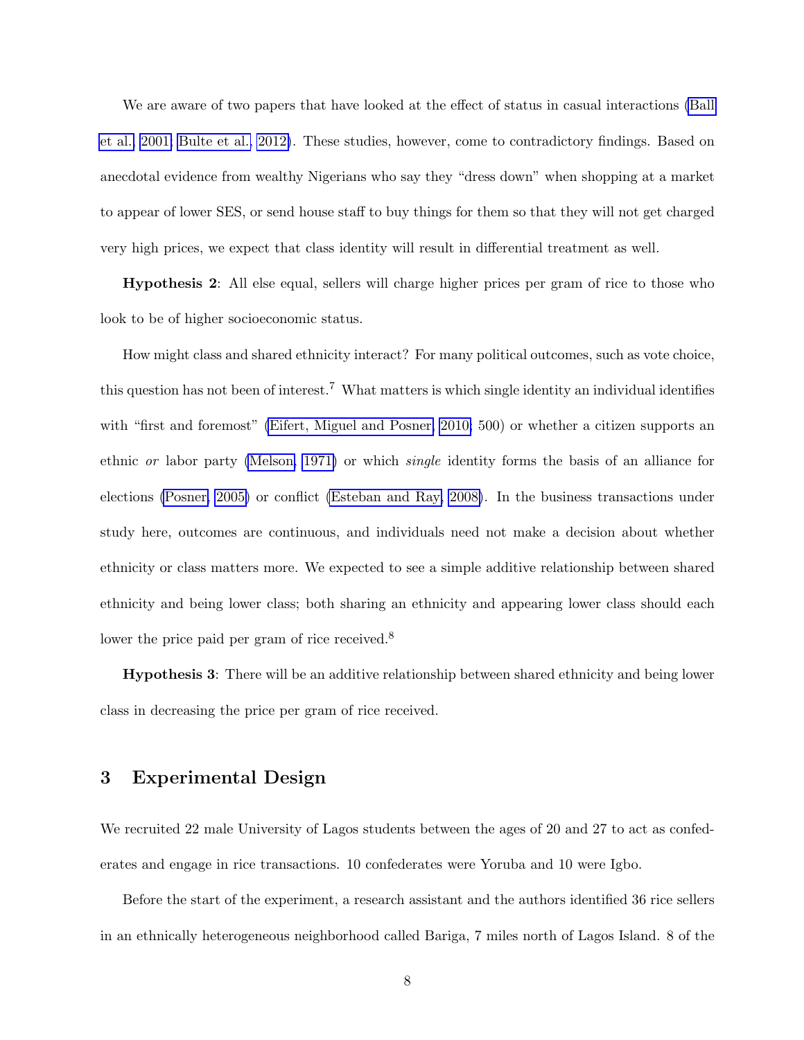We are aware of two papers that have looked at the effect of status in casual interactions [\(Ball](#page-20-7) [et al., 2001;](#page-20-7) [Bulte et al., 2012\)](#page-21-4). These studies, however, come to contradictory findings. Based on anecdotal evidence from wealthy Nigerians who say they "dress down" when shopping at a market to appear of lower SES, or send house staff to buy things for them so that they will not get charged very high prices, we expect that class identity will result in differential treatment as well.

Hypothesis 2: All else equal, sellers will charge higher prices per gram of rice to those who look to be of higher socioeconomic status.

How might class and shared ethnicity interact? For many political outcomes, such as vote choice, this question has not been of interest.<sup>7</sup> What matters is which single identity an individual identifies with "first and foremost" [\(Eifert, Miguel and Posner, 2010;](#page-22-6) 500) or whether a citizen supports an ethnic or labor party [\(Melson, 1971\)](#page-24-8) or which single identity forms the basis of an alliance for elections [\(Posner, 2005\)](#page-25-8) or conflict [\(Esteban and Ray, 2008\)](#page-22-8). In the business transactions under study here, outcomes are continuous, and individuals need not make a decision about whether ethnicity or class matters more. We expected to see a simple additive relationship between shared ethnicity and being lower class; both sharing an ethnicity and appearing lower class should each lower the price paid per gram of rice received.<sup>8</sup>

Hypothesis 3: There will be an additive relationship between shared ethnicity and being lower class in decreasing the price per gram of rice received.

#### 3 Experimental Design

We recruited 22 male University of Lagos students between the ages of 20 and 27 to act as confederates and engage in rice transactions. 10 confederates were Yoruba and 10 were Igbo.

Before the start of the experiment, a research assistant and the authors identified 36 rice sellers in an ethnically heterogeneous neighborhood called Bariga, 7 miles north of Lagos Island. 8 of the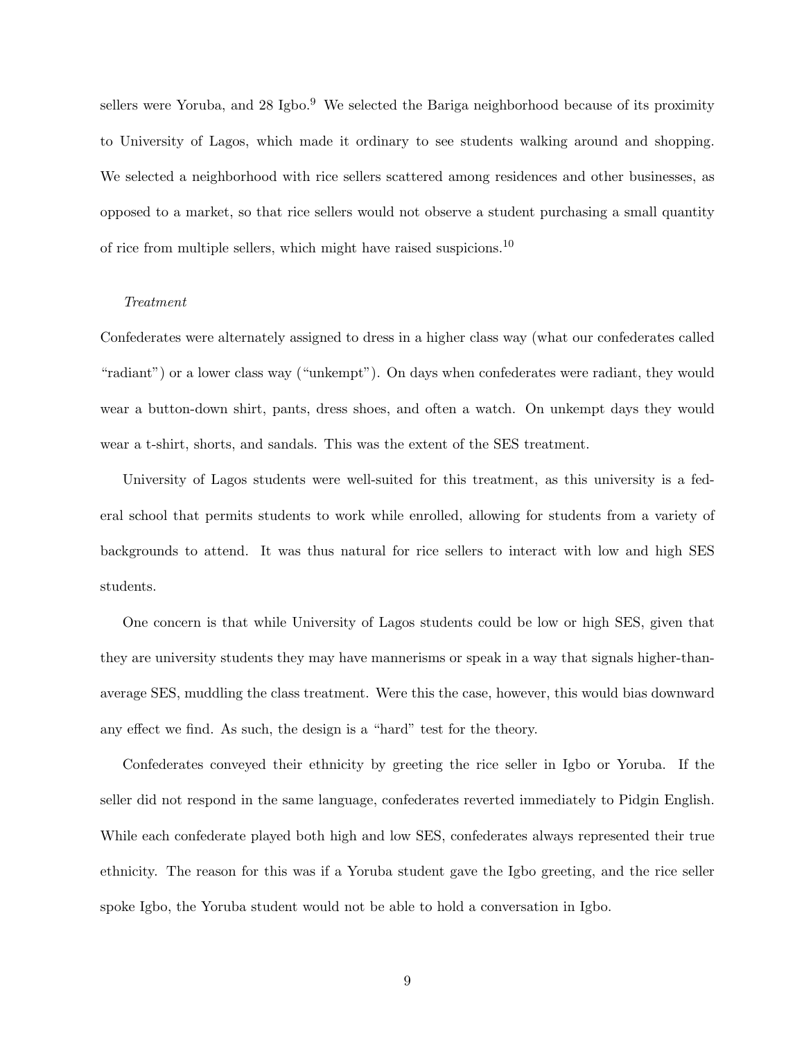sellers were Yoruba, and 28 Igbo.<sup>9</sup> We selected the Bariga neighborhood because of its proximity to University of Lagos, which made it ordinary to see students walking around and shopping. We selected a neighborhood with rice sellers scattered among residences and other businesses, as opposed to a market, so that rice sellers would not observe a student purchasing a small quantity of rice from multiple sellers, which might have raised suspicions.<sup>10</sup>

#### Treatment

Confederates were alternately assigned to dress in a higher class way (what our confederates called "radiant") or a lower class way ("unkempt"). On days when confederates were radiant, they would wear a button-down shirt, pants, dress shoes, and often a watch. On unkempt days they would wear a t-shirt, shorts, and sandals. This was the extent of the SES treatment.

University of Lagos students were well-suited for this treatment, as this university is a federal school that permits students to work while enrolled, allowing for students from a variety of backgrounds to attend. It was thus natural for rice sellers to interact with low and high SES students.

One concern is that while University of Lagos students could be low or high SES, given that they are university students they may have mannerisms or speak in a way that signals higher-thanaverage SES, muddling the class treatment. Were this the case, however, this would bias downward any effect we find. As such, the design is a "hard" test for the theory.

Confederates conveyed their ethnicity by greeting the rice seller in Igbo or Yoruba. If the seller did not respond in the same language, confederates reverted immediately to Pidgin English. While each confederate played both high and low SES, confederates always represented their true ethnicity. The reason for this was if a Yoruba student gave the Igbo greeting, and the rice seller spoke Igbo, the Yoruba student would not be able to hold a conversation in Igbo.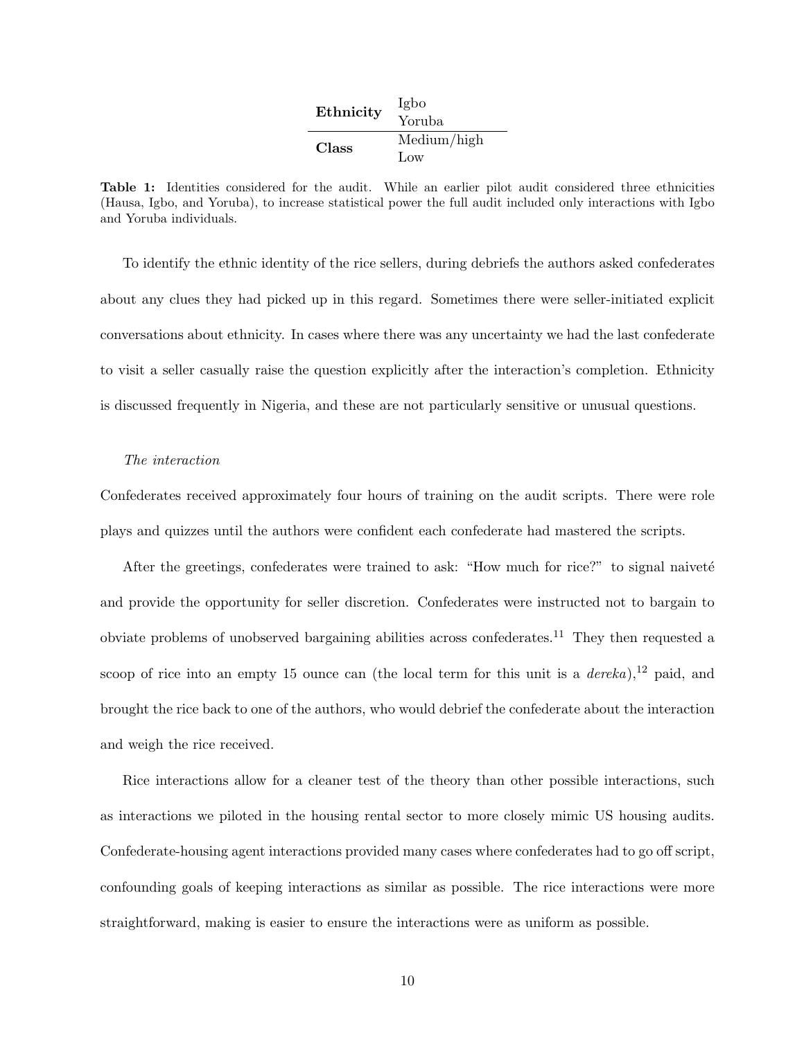| Ethnicity    | Igbo<br>Yoruba     |
|--------------|--------------------|
| <b>Class</b> | Medium/high<br>Low |

Table 1: Identities considered for the audit. While an earlier pilot audit considered three ethnicities (Hausa, Igbo, and Yoruba), to increase statistical power the full audit included only interactions with Igbo and Yoruba individuals.

To identify the ethnic identity of the rice sellers, during debriefs the authors asked confederates about any clues they had picked up in this regard. Sometimes there were seller-initiated explicit conversations about ethnicity. In cases where there was any uncertainty we had the last confederate to visit a seller casually raise the question explicitly after the interaction's completion. Ethnicity is discussed frequently in Nigeria, and these are not particularly sensitive or unusual questions.

#### The interaction

Confederates received approximately four hours of training on the audit scripts. There were role plays and quizzes until the authors were confident each confederate had mastered the scripts.

After the greetings, confederates were trained to ask: "How much for rice?" to signal naiveté and provide the opportunity for seller discretion. Confederates were instructed not to bargain to obviate problems of unobserved bargaining abilities across confederates.<sup>11</sup> They then requested a scoop of rice into an empty 15 ounce can (the local term for this unit is a *dereka*),<sup>12</sup> paid, and brought the rice back to one of the authors, who would debrief the confederate about the interaction and weigh the rice received.

Rice interactions allow for a cleaner test of the theory than other possible interactions, such as interactions we piloted in the housing rental sector to more closely mimic US housing audits. Confederate-housing agent interactions provided many cases where confederates had to go off script, confounding goals of keeping interactions as similar as possible. The rice interactions were more straightforward, making is easier to ensure the interactions were as uniform as possible.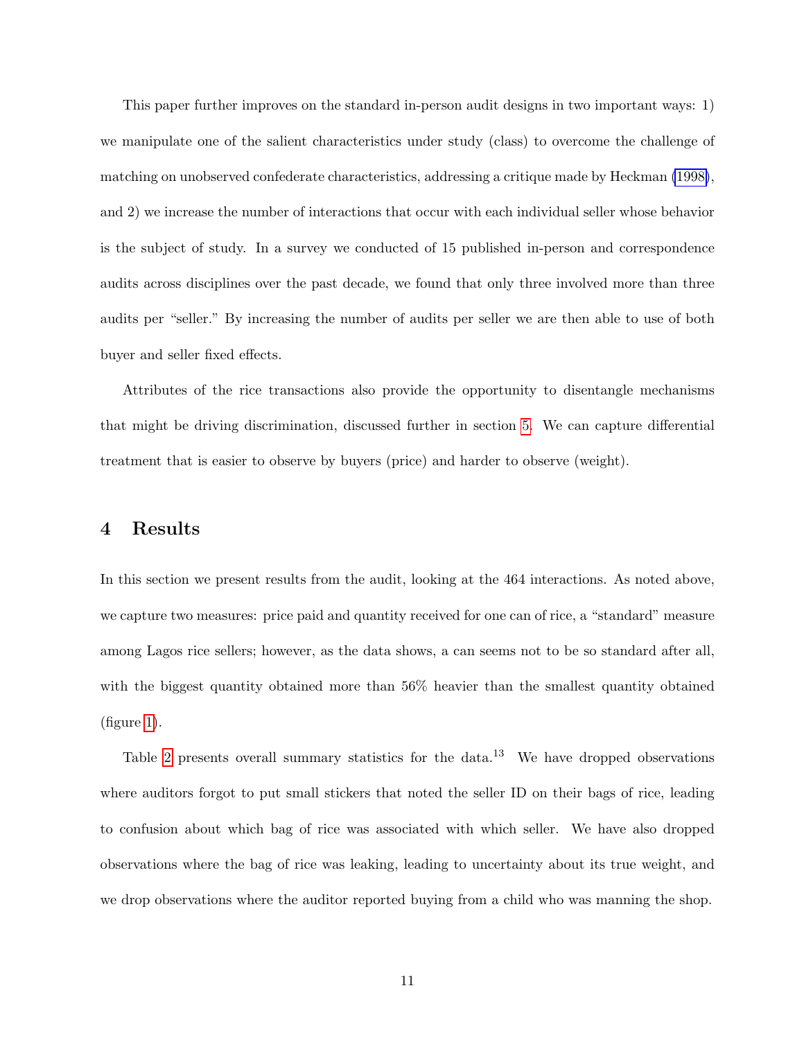This paper further improves on the standard in-person audit designs in two important ways: 1) we manipulate one of the salient characteristics under study (class) to overcome the challenge of matching on unobserved confederate characteristics, addressing a critique made by Heckman [\(1998\)](#page-23-1), and 2) we increase the number of interactions that occur with each individual seller whose behavior is the subject of study. In a survey we conducted of 15 published in-person and correspondence audits across disciplines over the past decade, we found that only three involved more than three audits per "seller." By increasing the number of audits per seller we are then able to use of both buyer and seller fixed effects.

Attributes of the rice transactions also provide the opportunity to disentangle mechanisms that might be driving discrimination, discussed further in section [5.](#page-14-0) We can capture differential treatment that is easier to observe by buyers (price) and harder to observe (weight).

### 4 Results

In this section we present results from the audit, looking at the 464 interactions. As noted above, we capture two measures: price paid and quantity received for one can of rice, a "standard" measure among Lagos rice sellers; however, as the data shows, a can seems not to be so standard after all, with the biggest quantity obtained more than 56% heavier than the smallest quantity obtained (figure [1\)](#page-11-0).

Table [2](#page-11-1) presents overall summary statistics for the data.<sup>13</sup> We have dropped observations where auditors forgot to put small stickers that noted the seller ID on their bags of rice, leading to confusion about which bag of rice was associated with which seller. We have also dropped observations where the bag of rice was leaking, leading to uncertainty about its true weight, and we drop observations where the auditor reported buying from a child who was manning the shop.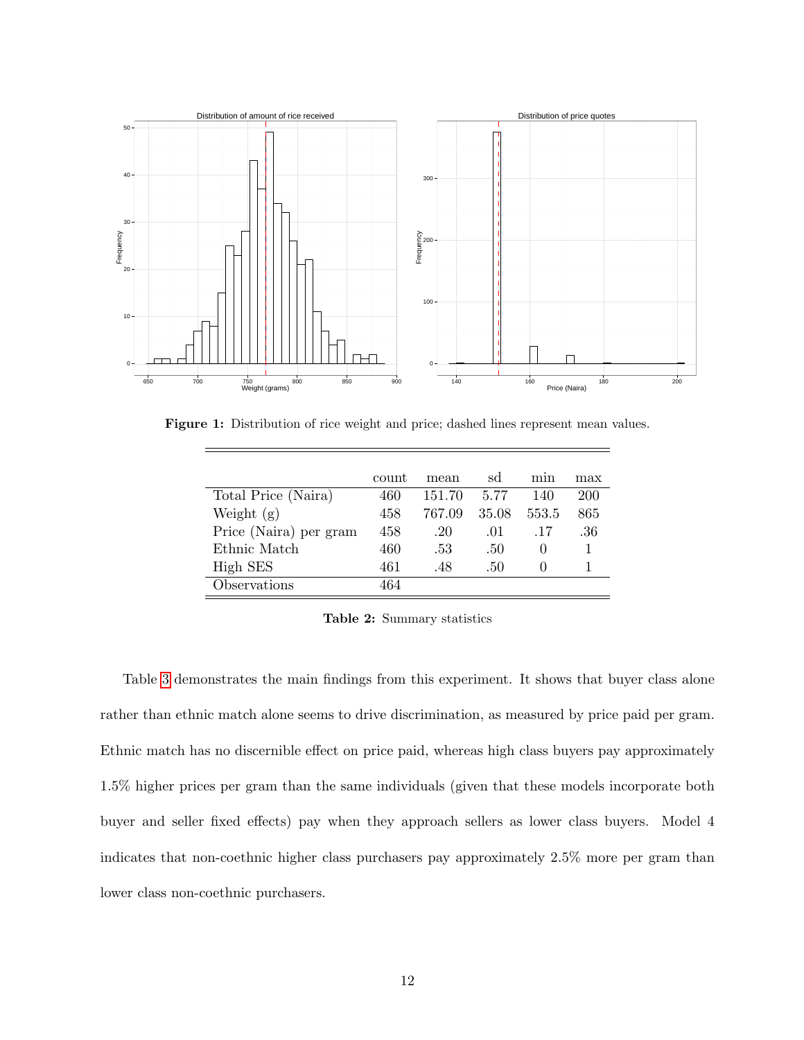<span id="page-11-0"></span>

<span id="page-11-1"></span>Figure 1: Distribution of rice weight and price; dashed lines represent mean values.

|                        | count | mean   | sd    | mın          | max |
|------------------------|-------|--------|-------|--------------|-----|
| Total Price (Naira)    | 460   | 151.70 | 5.77  | 140          | 200 |
| Weight $(g)$           | 458   | 767.09 | 35.08 | 553.5        | 865 |
| Price (Naira) per gram | 458   | .20    | .01   | .17          | .36 |
| Ethnic Match           | 460   | .53    | .50   | $\cup$       |     |
| High SES               | 461   | .48    | .50   | $\mathbf{0}$ |     |
| Observations           | 464   |        |       |              |     |

Table 2: Summary statistics

Table [3](#page-12-0) demonstrates the main findings from this experiment. It shows that buyer class alone rather than ethnic match alone seems to drive discrimination, as measured by price paid per gram. Ethnic match has no discernible effect on price paid, whereas high class buyers pay approximately 1.5% higher prices per gram than the same individuals (given that these models incorporate both buyer and seller fixed effects) pay when they approach sellers as lower class buyers. Model 4 indicates that non-coethnic higher class purchasers pay approximately 2.5% more per gram than lower class non-coethnic purchasers.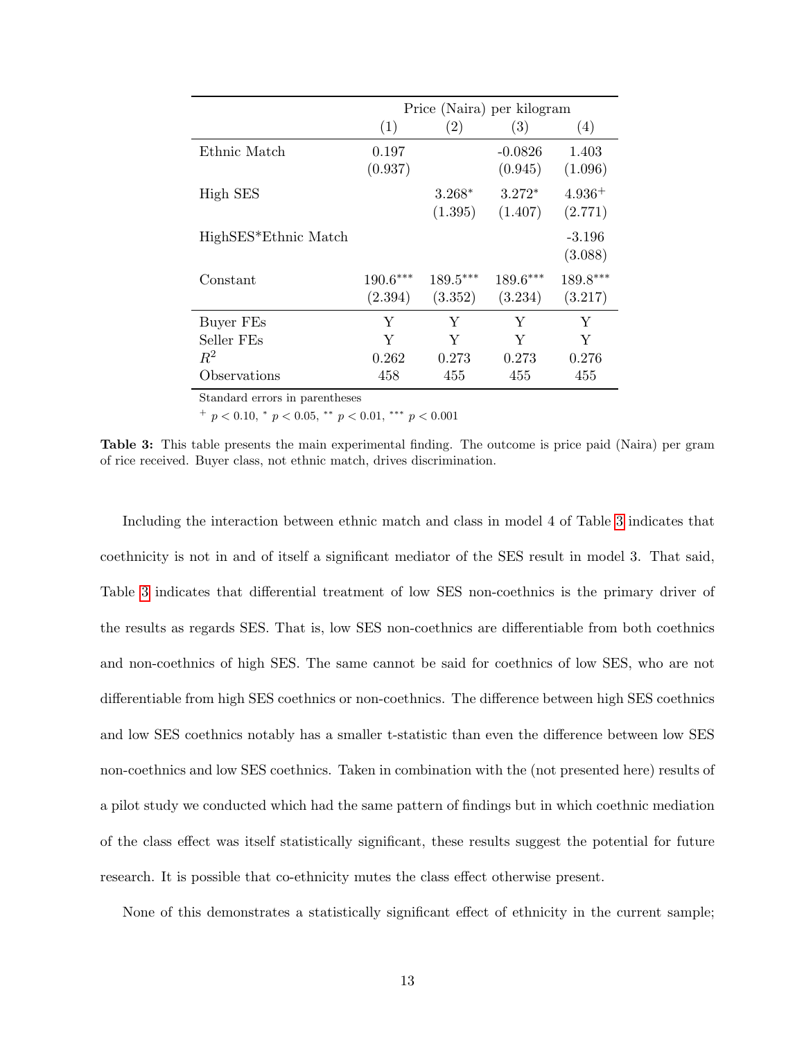<span id="page-12-0"></span>

|                      | Price (Naira) per kilogram |                       |                      |                     |
|----------------------|----------------------------|-----------------------|----------------------|---------------------|
|                      | (1)                        | (2)                   | (3)                  | (4)                 |
| Ethnic Match         | 0.197<br>(0.937)           |                       | $-0.0826$<br>(0.945) | 1.403<br>(1.096)    |
| High SES             |                            | $3.268*$<br>(1.395)   | $3.272*$<br>(1.407)  | $4.936+$<br>(2.771) |
| HighSES*Ethnic Match |                            |                       |                      | $-3.196$<br>(3.088) |
| Constant             | $190.6***$<br>(2.394)      | $189.5***$<br>(3.352) | 189.6***<br>(3.234)  | 189.8***<br>(3.217) |
| Buyer FEs            | Y                          | Y                     | Y                    | Y                   |
| Seller FEs           | Y                          | Y                     | Y                    | Y                   |
| $R^2$                | 0.262                      | 0.273                 | 0.273                | 0.276               |
| Observations         | 458                        | 455                   | 455                  | 455                 |

Standard errors in parentheses

 $^{+}$  p < 0.10,  $^{*}$  p < 0.05,  $^{**}$  p < 0.01,  $^{***}$  p < 0.001

Table 3: This table presents the main experimental finding. The outcome is price paid (Naira) per gram of rice received. Buyer class, not ethnic match, drives discrimination.

Including the interaction between ethnic match and class in model 4 of Table [3](#page-12-0) indicates that coethnicity is not in and of itself a significant mediator of the SES result in model 3. That said, Table [3](#page-12-0) indicates that differential treatment of low SES non-coethnics is the primary driver of the results as regards SES. That is, low SES non-coethnics are differentiable from both coethnics and non-coethnics of high SES. The same cannot be said for coethnics of low SES, who are not differentiable from high SES coethnics or non-coethnics. The difference between high SES coethnics and low SES coethnics notably has a smaller t-statistic than even the difference between low SES non-coethnics and low SES coethnics. Taken in combination with the (not presented here) results of a pilot study we conducted which had the same pattern of findings but in which coethnic mediation of the class effect was itself statistically significant, these results suggest the potential for future research. It is possible that co-ethnicity mutes the class effect otherwise present.

None of this demonstrates a statistically significant effect of ethnicity in the current sample;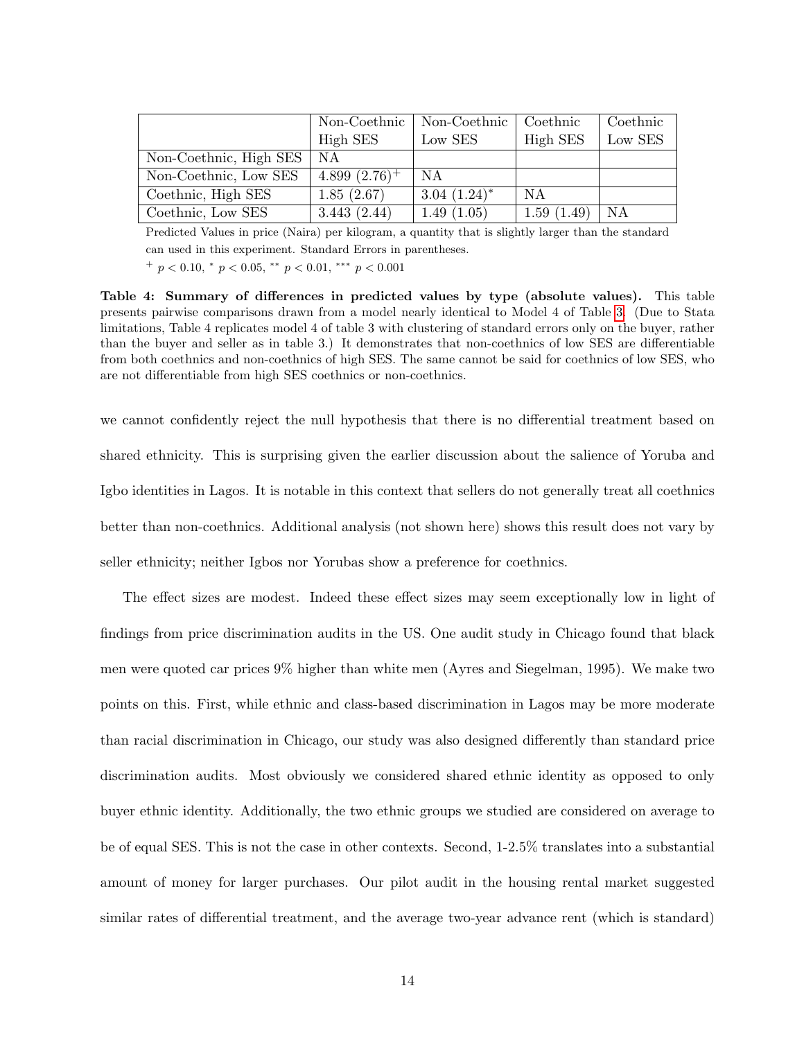|                        | Non-Coethnic    | Non-Coethnic    | Coethnic   | Coethnic |
|------------------------|-----------------|-----------------|------------|----------|
|                        | High SES        | Low SES         | High SES   | Low SES  |
| Non-Coethnic, High SES | NA              |                 |            |          |
| Non-Coethnic, Low SES  | $4.899(2.76)^+$ | N A             |            |          |
| Coethnic, High SES     | 1.85(2.67)      | $3.04~(1.24)^*$ | N A        |          |
| Coethnic, Low SES      | 3.443(2.44)     | 1.49(1.05)      | 1.59(1.49) | NA       |

Predicted Values in price (Naira) per kilogram, a quantity that is slightly larger than the standard can used in this experiment. Standard Errors in parentheses.  $^{+}$  p < 0.10,  $^{*}$  p < 0.05,  $^{**}$  p < 0.01,  $^{***}$  p < 0.001

Table 4: Summary of differences in predicted values by type (absolute values). This table presents pairwise comparisons drawn from a model nearly identical to Model 4 of Table [3.](#page-12-0) (Due to Stata limitations, Table 4 replicates model 4 of table 3 with clustering of standard errors only on the buyer, rather than the buyer and seller as in table 3.) It demonstrates that non-coethnics of low SES are differentiable from both coethnics and non-coethnics of high SES. The same cannot be said for coethnics of low SES, who are not differentiable from high SES coethnics or non-coethnics.

we cannot confidently reject the null hypothesis that there is no differential treatment based on shared ethnicity. This is surprising given the earlier discussion about the salience of Yoruba and Igbo identities in Lagos. It is notable in this context that sellers do not generally treat all coethnics better than non-coethnics. Additional analysis (not shown here) shows this result does not vary by seller ethnicity; neither Igbos nor Yorubas show a preference for coethnics.

The effect sizes are modest. Indeed these effect sizes may seem exceptionally low in light of findings from price discrimination audits in the US. One audit study in Chicago found that black men were quoted car prices 9% higher than white men (Ayres and Siegelman, 1995). We make two points on this. First, while ethnic and class-based discrimination in Lagos may be more moderate than racial discrimination in Chicago, our study was also designed differently than standard price discrimination audits. Most obviously we considered shared ethnic identity as opposed to only buyer ethnic identity. Additionally, the two ethnic groups we studied are considered on average to be of equal SES. This is not the case in other contexts. Second, 1-2.5% translates into a substantial amount of money for larger purchases. Our pilot audit in the housing rental market suggested similar rates of differential treatment, and the average two-year advance rent (which is standard)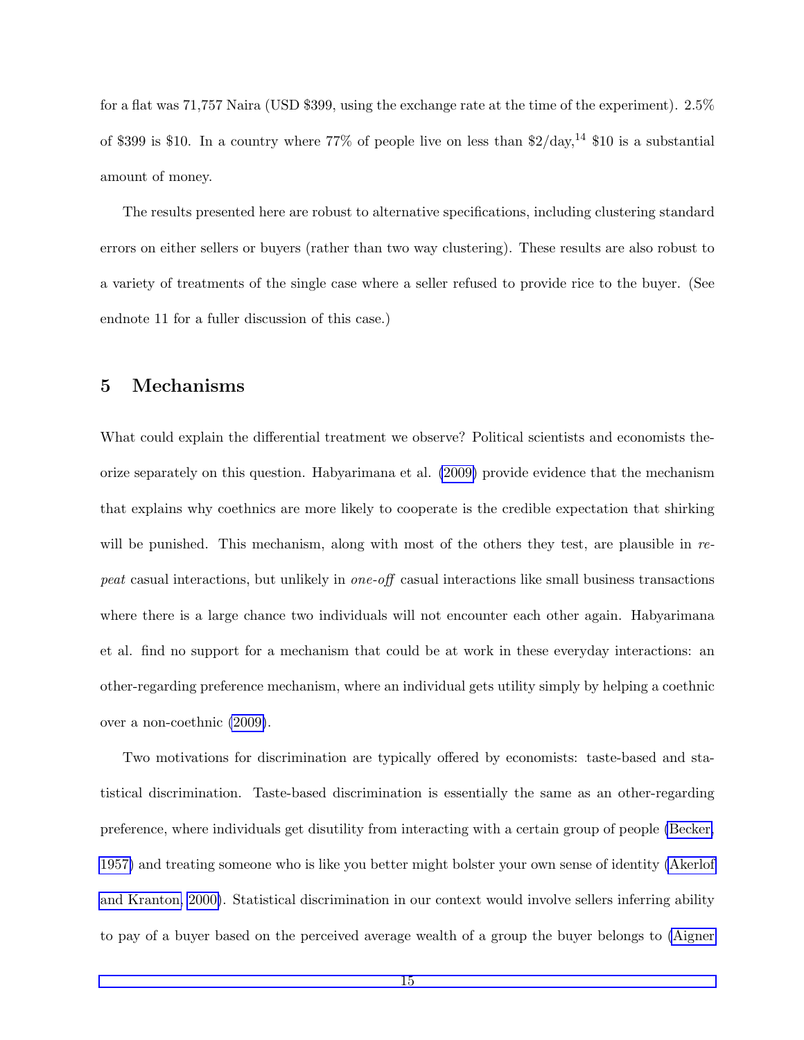for a flat was 71,757 Naira (USD \$399, using the exchange rate at the time of the experiment). 2.5% of \$399 is \$10. In a country where 77% of people live on less than  $2/\text{day}$ ,<sup>14</sup> \$10 is a substantial amount of money.

The results presented here are robust to alternative specifications, including clustering standard errors on either sellers or buyers (rather than two way clustering). These results are also robust to a variety of treatments of the single case where a seller refused to provide rice to the buyer. (See endnote 11 for a fuller discussion of this case.)

#### <span id="page-14-0"></span>5 Mechanisms

What could explain the differential treatment we observe? Political scientists and economists theorize separately on this question. Habyarimana et al. [\(2009\)](#page-23-2) provide evidence that the mechanism that explains why coethnics are more likely to cooperate is the credible expectation that shirking will be punished. This mechanism, along with most of the others they test, are plausible in repeat casual interactions, but unlikely in one-off casual interactions like small business transactions where there is a large chance two individuals will not encounter each other again. Habyarimana et al. find no support for a mechanism that could be at work in these everyday interactions: an other-regarding preference mechanism, where an individual gets utility simply by helping a coethnic over a non-coethnic [\(2009\)](#page-23-2).

Two motivations for discrimination are typically offered by economists: taste-based and statistical discrimination. Taste-based discrimination is essentially the same as an other-regarding preference, where individuals get disutility from interacting with a certain group of people [\(Becker,](#page-21-5) [1957\)](#page-21-5) and treating someone who is like you better might bolster your own sense of identity [\(Akerlof](#page-20-8) [and Kranton, 2000\)](#page-20-8). Statistical discrimination in our context would involve sellers inferring ability to pay of a buyer based on the perceived average wealth of a group the buyer belongs to [\(Aigner](#page-20-9)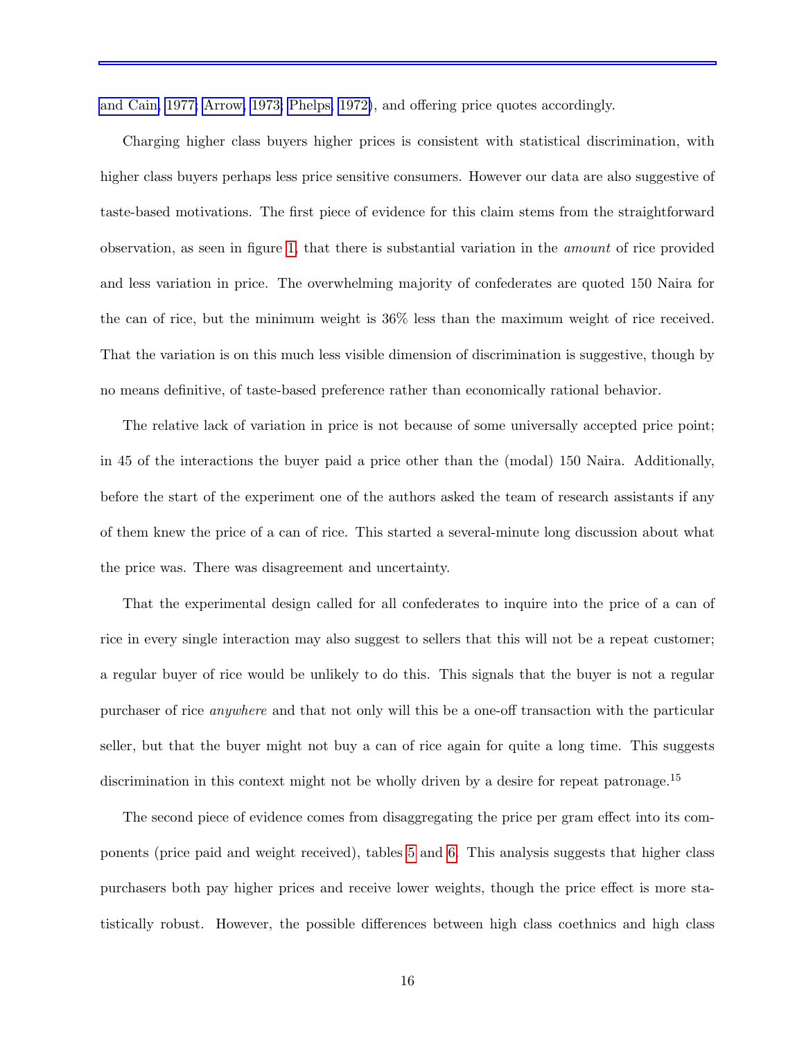[and Cain, 1977;](#page-20-9) [Arrow, 1973;](#page-20-10) [Phelps, 1972\)](#page-25-9), and offering price quotes accordingly.

Charging higher class buyers higher prices is consistent with statistical discrimination, with higher class buyers perhaps less price sensitive consumers. However our data are also suggestive of taste-based motivations. The first piece of evidence for this claim stems from the straightforward observation, as seen in figure [1,](#page-11-0) that there is substantial variation in the amount of rice provided and less variation in price. The overwhelming majority of confederates are quoted 150 Naira for the can of rice, but the minimum weight is 36% less than the maximum weight of rice received. That the variation is on this much less visible dimension of discrimination is suggestive, though by no means definitive, of taste-based preference rather than economically rational behavior.

The relative lack of variation in price is not because of some universally accepted price point; in 45 of the interactions the buyer paid a price other than the (modal) 150 Naira. Additionally, before the start of the experiment one of the authors asked the team of research assistants if any of them knew the price of a can of rice. This started a several-minute long discussion about what the price was. There was disagreement and uncertainty.

That the experimental design called for all confederates to inquire into the price of a can of rice in every single interaction may also suggest to sellers that this will not be a repeat customer; a regular buyer of rice would be unlikely to do this. This signals that the buyer is not a regular purchaser of rice anywhere and that not only will this be a one-off transaction with the particular seller, but that the buyer might not buy a can of rice again for quite a long time. This suggests discrimination in this context might not be wholly driven by a desire for repeat patronage.<sup>15</sup>

The second piece of evidence comes from disaggregating the price per gram effect into its components (price paid and weight received), tables [5](#page-16-0) and [6.](#page-17-0) This analysis suggests that higher class purchasers both pay higher prices and receive lower weights, though the price effect is more statistically robust. However, the possible differences between high class coethnics and high class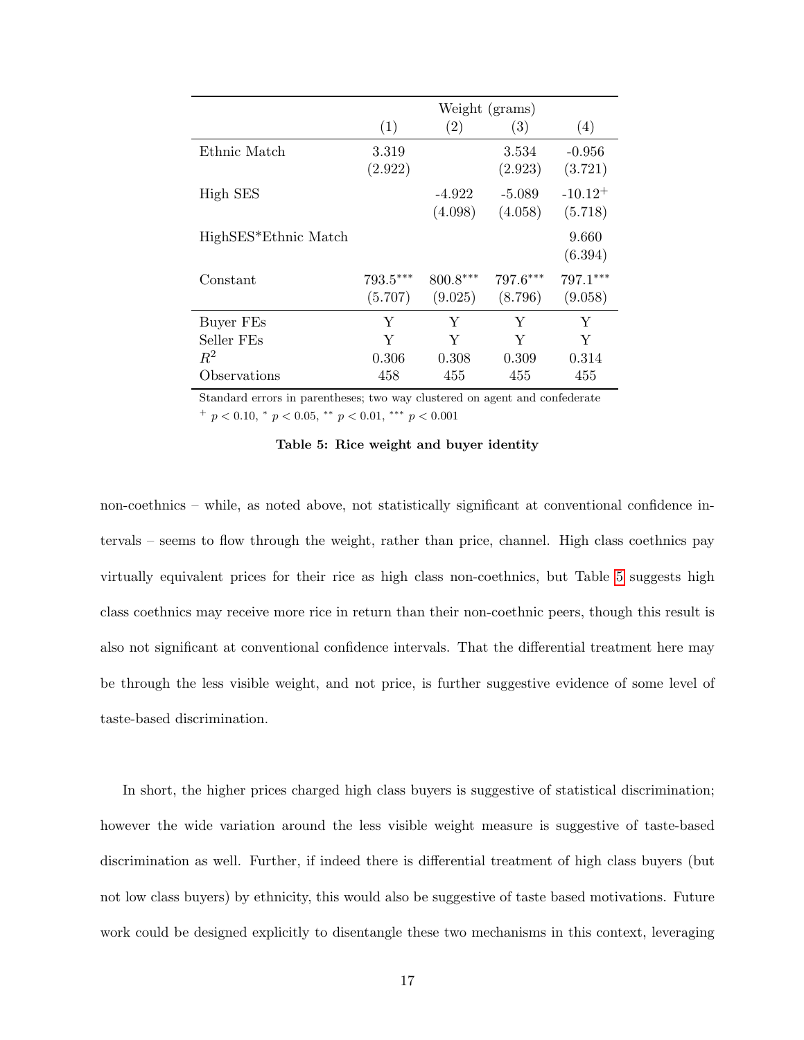<span id="page-16-0"></span>

|                         | Weight (grams)        |                     |                     |                         |
|-------------------------|-----------------------|---------------------|---------------------|-------------------------|
|                         | (1)                   | $\left( 2\right)$   | (3)                 | (4)                     |
| Ethnic Match            | 3.319<br>(2.922)      |                     | 3.534<br>(2.923)    | $-0.956$<br>(3.721)     |
| High SES                |                       | $-4.922$<br>(4.098) | $-5.089$<br>(4.058) | $-10.12^{+}$<br>(5.718) |
| HighSES*Ethnic Match    |                       |                     |                     | 9.660<br>(6.394)        |
| Constant                | $793.5***$<br>(5.707) | 800.8***<br>(9.025) | 797.6***<br>(8.796) | 797.1***<br>(9.058)     |
| Buyer FEs<br>Seller FEs | Y<br>Y                | Υ<br>Y              | Υ<br>Y              | Y<br>Y                  |
| $R^2$<br>Observations   | 0.306<br>458          | 0.308<br>455        | 0.309<br>455        | 0.314<br>455            |

Standard errors in parentheses; two way clustered on agent and confederate  $^{+}$  p < 0.10,  $^{*}$  p < 0.05,  $^{**}$  p < 0.01,  $^{***}$  p < 0.001

non-coethnics – while, as noted above, not statistically significant at conventional confidence intervals – seems to flow through the weight, rather than price, channel. High class coethnics pay virtually equivalent prices for their rice as high class non-coethnics, but Table [5](#page-16-0) suggests high class coethnics may receive more rice in return than their non-coethnic peers, though this result is also not significant at conventional confidence intervals. That the differential treatment here may be through the less visible weight, and not price, is further suggestive evidence of some level of taste-based discrimination.

In short, the higher prices charged high class buyers is suggestive of statistical discrimination; however the wide variation around the less visible weight measure is suggestive of taste-based discrimination as well. Further, if indeed there is differential treatment of high class buyers (but not low class buyers) by ethnicity, this would also be suggestive of taste based motivations. Future work could be designed explicitly to disentangle these two mechanisms in this context, leveraging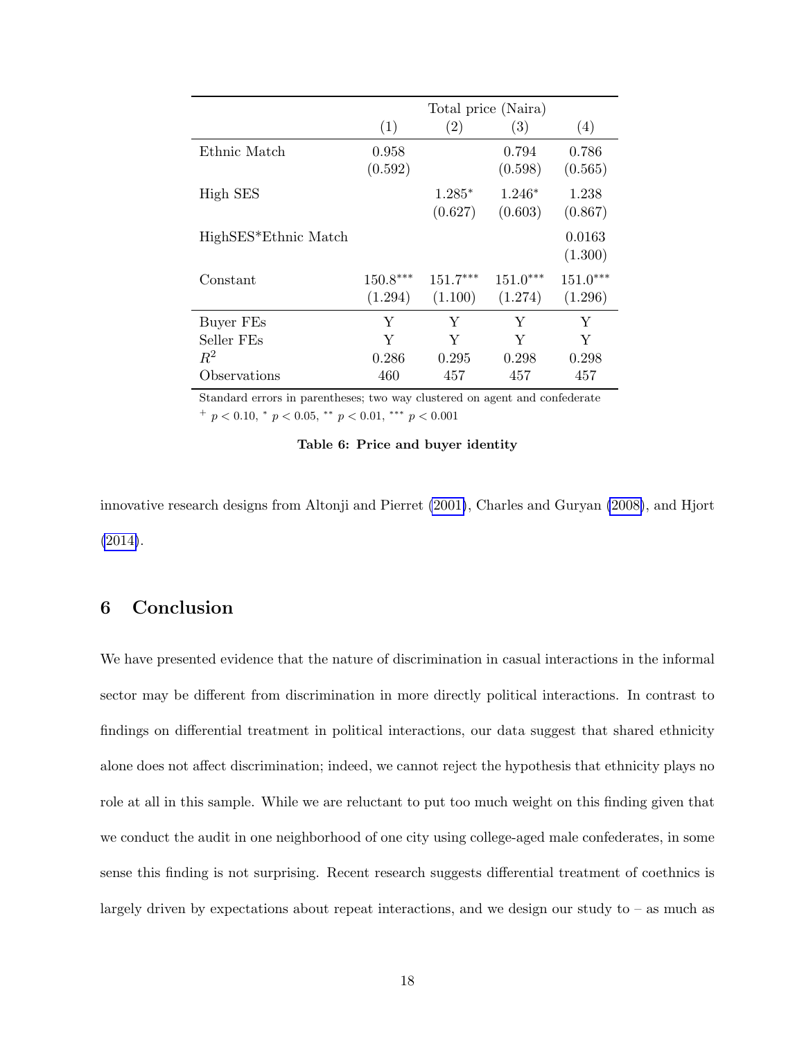<span id="page-17-0"></span>

|                         | Total price (Naira)   |                       |                       |                       |
|-------------------------|-----------------------|-----------------------|-----------------------|-----------------------|
|                         | (1)                   | $\left( 2\right)$     | (3)                   | (4)                   |
| Ethnic Match            | 0.958<br>(0.592)      |                       | 0.794<br>(0.598)      | 0.786<br>(0.565)      |
| High SES                |                       | $1.285*$<br>(0.627)   | $1.246*$<br>(0.603)   | 1.238<br>(0.867)      |
| HighSES*Ethnic Match    |                       |                       |                       | 0.0163<br>(1.300)     |
| Constant                | $150.8***$<br>(1.294) | $151.7***$<br>(1.100) | $151.0***$<br>(1.274) | $151.0***$<br>(1.296) |
| Buyer FEs<br>Seller FEs | Y<br>Y                | Y<br>Y                | Υ<br>Y                | Y<br>Y                |
| $R^2$<br>Observations   | 0.286<br>460          | 0.295<br>457          | 0.298<br>457          | 0.298<br>457          |

Standard errors in parentheses; two way clustered on agent and confederate  $^{+}$  p < 0.10,  $^{*}$  p < 0.05,  $^{**}$  p < 0.01,  $^{***}$  p < 0.001

#### Table 6: Price and buyer identity

innovative research designs from Altonji and Pierret [\(2001\)](#page-20-11), Charles and Guryan [\(2008\)](#page-21-6), and Hjort [\(2014\)](#page-23-6).

# 6 Conclusion

We have presented evidence that the nature of discrimination in casual interactions in the informal sector may be different from discrimination in more directly political interactions. In contrast to findings on differential treatment in political interactions, our data suggest that shared ethnicity alone does not affect discrimination; indeed, we cannot reject the hypothesis that ethnicity plays no role at all in this sample. While we are reluctant to put too much weight on this finding given that we conduct the audit in one neighborhood of one city using college-aged male confederates, in some sense this finding is not surprising. Recent research suggests differential treatment of coethnics is largely driven by expectations about repeat interactions, and we design our study to  $-$  as much as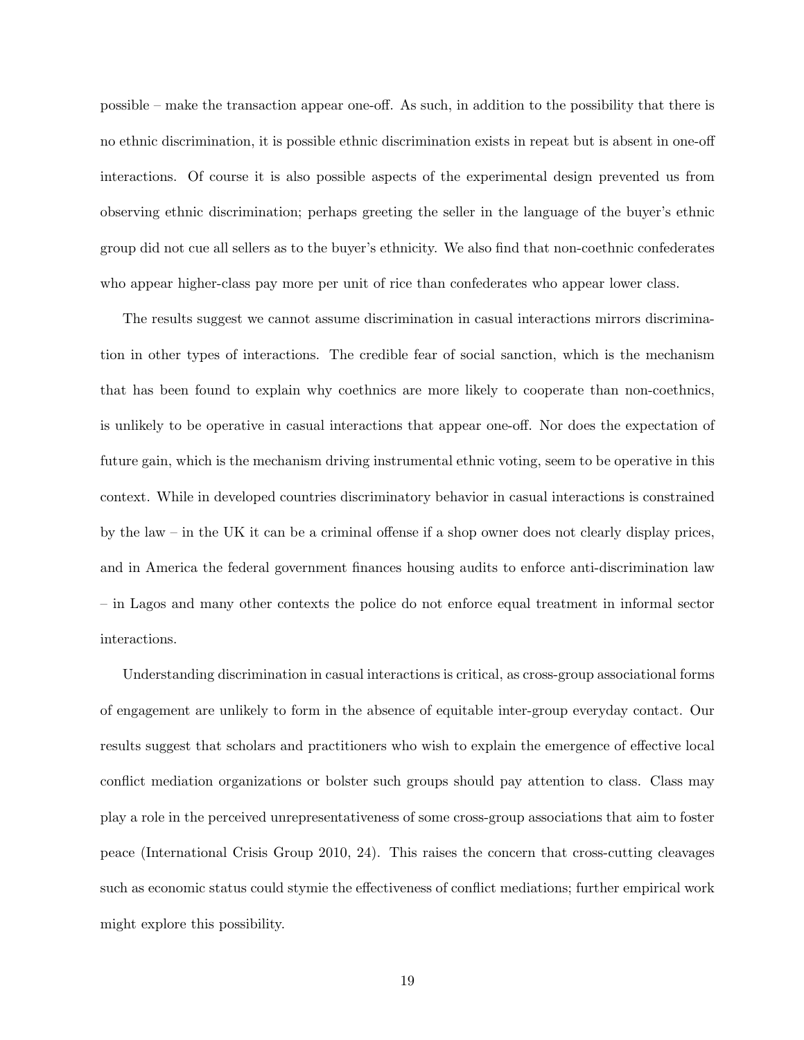possible – make the transaction appear one-off. As such, in addition to the possibility that there is no ethnic discrimination, it is possible ethnic discrimination exists in repeat but is absent in one-off interactions. Of course it is also possible aspects of the experimental design prevented us from observing ethnic discrimination; perhaps greeting the seller in the language of the buyer's ethnic group did not cue all sellers as to the buyer's ethnicity. We also find that non-coethnic confederates who appear higher-class pay more per unit of rice than confederates who appear lower class.

The results suggest we cannot assume discrimination in casual interactions mirrors discrimination in other types of interactions. The credible fear of social sanction, which is the mechanism that has been found to explain why coethnics are more likely to cooperate than non-coethnics, is unlikely to be operative in casual interactions that appear one-off. Nor does the expectation of future gain, which is the mechanism driving instrumental ethnic voting, seem to be operative in this context. While in developed countries discriminatory behavior in casual interactions is constrained by the law – in the UK it can be a criminal offense if a shop owner does not clearly display prices, and in America the federal government finances housing audits to enforce anti-discrimination law – in Lagos and many other contexts the police do not enforce equal treatment in informal sector interactions.

Understanding discrimination in casual interactions is critical, as cross-group associational forms of engagement are unlikely to form in the absence of equitable inter-group everyday contact. Our results suggest that scholars and practitioners who wish to explain the emergence of effective local conflict mediation organizations or bolster such groups should pay attention to class. Class may play a role in the perceived unrepresentativeness of some cross-group associations that aim to foster peace (International Crisis Group 2010, 24). This raises the concern that cross-cutting cleavages such as economic status could stymie the effectiveness of conflict mediations; further empirical work might explore this possibility.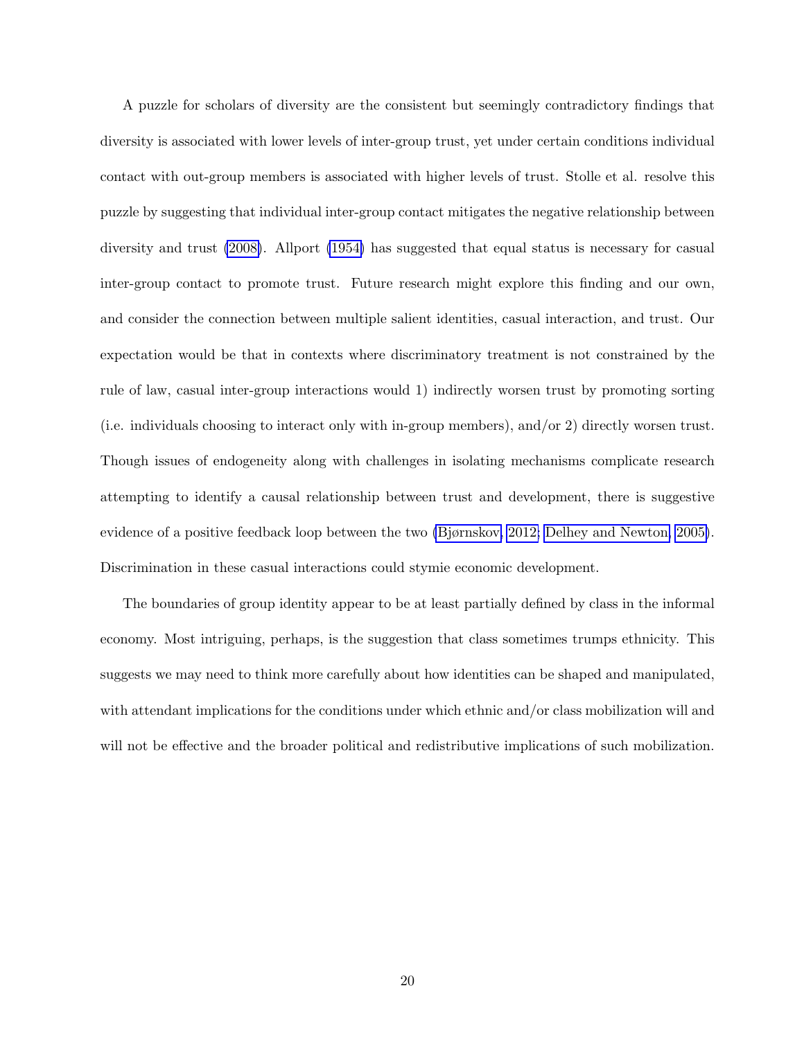A puzzle for scholars of diversity are the consistent but seemingly contradictory findings that diversity is associated with lower levels of inter-group trust, yet under certain conditions individual contact with out-group members is associated with higher levels of trust. Stolle et al. resolve this puzzle by suggesting that individual inter-group contact mitigates the negative relationship between diversity and trust [\(2008\)](#page-25-5). Allport [\(1954\)](#page-20-4) has suggested that equal status is necessary for casual inter-group contact to promote trust. Future research might explore this finding and our own, and consider the connection between multiple salient identities, casual interaction, and trust. Our expectation would be that in contexts where discriminatory treatment is not constrained by the rule of law, casual inter-group interactions would 1) indirectly worsen trust by promoting sorting (i.e. individuals choosing to interact only with in-group members), and/or 2) directly worsen trust. Though issues of endogeneity along with challenges in isolating mechanisms complicate research attempting to identify a causal relationship between trust and development, there is suggestive evidence of a positive feedback loop between the two [\(Bjørnskov, 2012;](#page-21-7) [Delhey and Newton, 2005\)](#page-22-9). Discrimination in these casual interactions could stymie economic development.

The boundaries of group identity appear to be at least partially defined by class in the informal economy. Most intriguing, perhaps, is the suggestion that class sometimes trumps ethnicity. This suggests we may need to think more carefully about how identities can be shaped and manipulated, with attendant implications for the conditions under which ethnic and/or class mobilization will and will not be effective and the broader political and redistributive implications of such mobilization.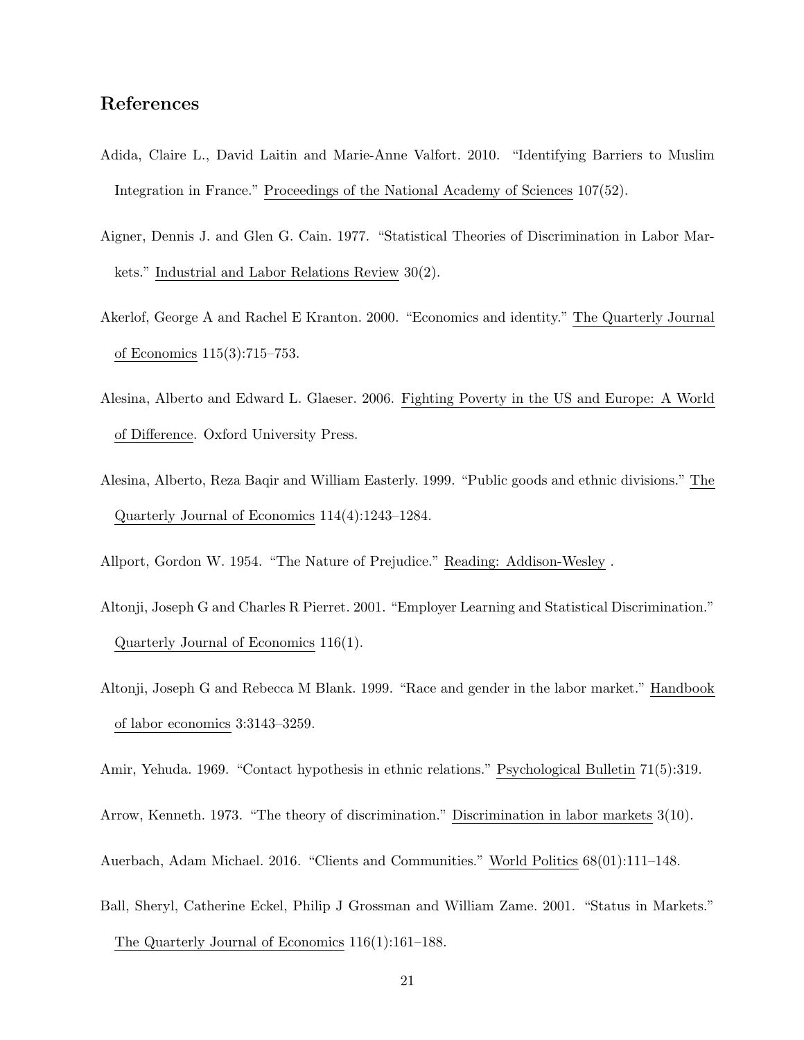### References

- <span id="page-20-0"></span>Adida, Claire L., David Laitin and Marie-Anne Valfort. 2010. "Identifying Barriers to Muslim Integration in France." Proceedings of the National Academy of Sciences 107(52).
- <span id="page-20-9"></span>Aigner, Dennis J. and Glen G. Cain. 1977. "Statistical Theories of Discrimination in Labor Markets." Industrial and Labor Relations Review 30(2).
- <span id="page-20-8"></span>Akerlof, George A and Rachel E Kranton. 2000. "Economics and identity." The Quarterly Journal of Economics 115(3):715–753.
- <span id="page-20-5"></span>Alesina, Alberto and Edward L. Glaeser. 2006. Fighting Poverty in the US and Europe: A World of Difference. Oxford University Press.
- <span id="page-20-1"></span>Alesina, Alberto, Reza Baqir and William Easterly. 1999. "Public goods and ethnic divisions." The Quarterly Journal of Economics 114(4):1243–1284.
- <span id="page-20-11"></span><span id="page-20-4"></span>Allport, Gordon W. 1954. "The Nature of Prejudice." Reading: Addison-Wesley .
- Altonji, Joseph G and Charles R Pierret. 2001. "Employer Learning and Statistical Discrimination." Quarterly Journal of Economics 116(1).
- <span id="page-20-6"></span>Altonji, Joseph G and Rebecca M Blank. 1999. "Race and gender in the labor market." Handbook of labor economics 3:3143–3259.
- <span id="page-20-10"></span><span id="page-20-3"></span>Amir, Yehuda. 1969. "Contact hypothesis in ethnic relations." Psychological Bulletin 71(5):319.
- <span id="page-20-2"></span>Arrow, Kenneth. 1973. "The theory of discrimination." Discrimination in labor markets 3(10).
- <span id="page-20-7"></span>Auerbach, Adam Michael. 2016. "Clients and Communities." World Politics 68(01):111–148.
- Ball, Sheryl, Catherine Eckel, Philip J Grossman and William Zame. 2001. "Status in Markets." The Quarterly Journal of Economics 116(1):161–188.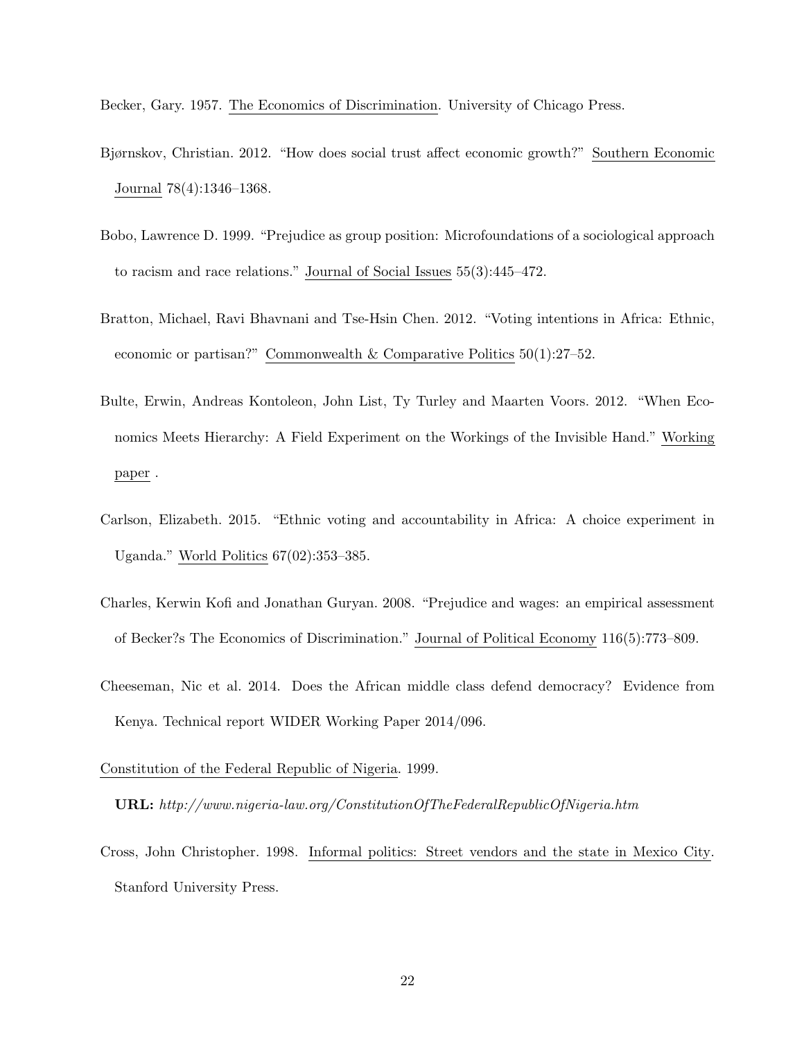<span id="page-21-7"></span><span id="page-21-5"></span>Becker, Gary. 1957. The Economics of Discrimination. University of Chicago Press.

- Bjørnskov, Christian. 2012. "How does social trust affect economic growth?" Southern Economic Journal 78(4):1346–1368.
- <span id="page-21-3"></span>Bobo, Lawrence D. 1999. "Prejudice as group position: Microfoundations of a sociological approach to racism and race relations." Journal of Social Issues 55(3):445–472.
- <span id="page-21-0"></span>Bratton, Michael, Ravi Bhavnani and Tse-Hsin Chen. 2012. "Voting intentions in Africa: Ethnic, economic or partisan?" Commonwealth & Comparative Politics 50(1):27–52.
- <span id="page-21-4"></span>Bulte, Erwin, Andreas Kontoleon, John List, Ty Turley and Maarten Voors. 2012. "When Economics Meets Hierarchy: A Field Experiment on the Workings of the Invisible Hand." Working paper .
- <span id="page-21-1"></span>Carlson, Elizabeth. 2015. "Ethnic voting and accountability in Africa: A choice experiment in Uganda." World Politics 67(02):353–385.
- <span id="page-21-6"></span>Charles, Kerwin Kofi and Jonathan Guryan. 2008. "Prejudice and wages: an empirical assessment of Becker?s The Economics of Discrimination." Journal of Political Economy 116(5):773–809.
- <span id="page-21-8"></span>Cheeseman, Nic et al. 2014. Does the African middle class defend democracy? Evidence from Kenya. Technical report WIDER Working Paper 2014/096.

Constitution of the Federal Republic of Nigeria. 1999.

URL: http://www.nigeria-law.org/ConstitutionOfTheFederalRepublicOfNigeria.htm

<span id="page-21-2"></span>Cross, John Christopher. 1998. Informal politics: Street vendors and the state in Mexico City. Stanford University Press.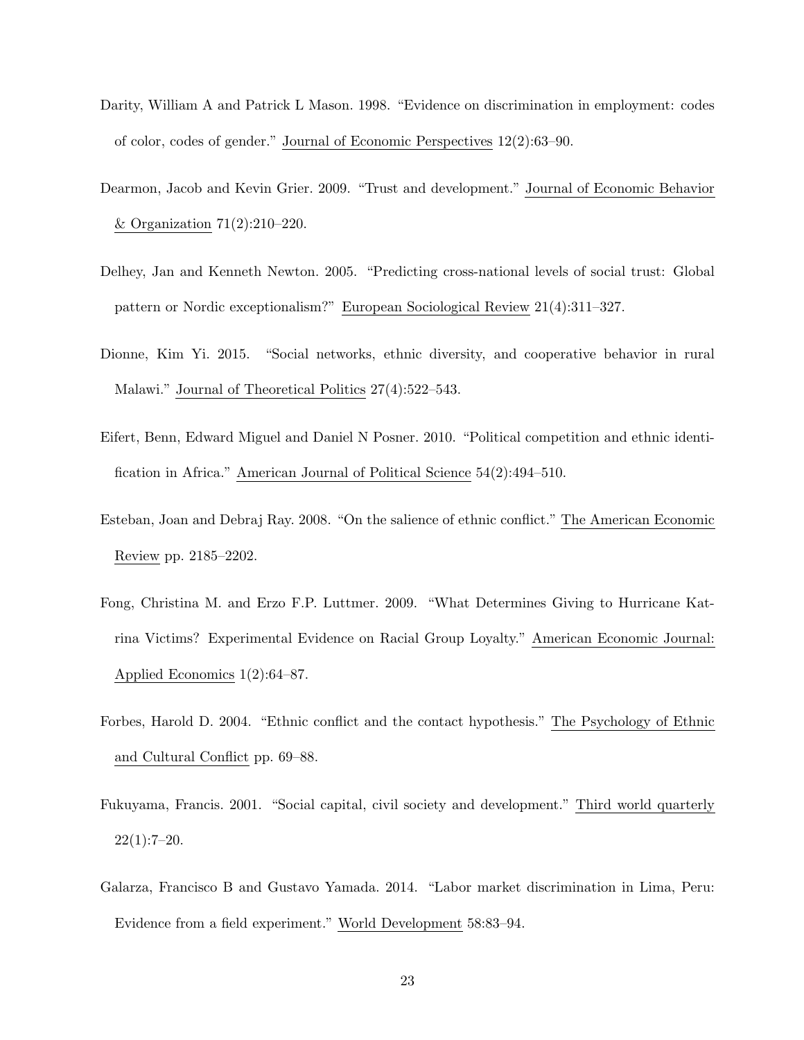- <span id="page-22-0"></span>Darity, William A and Patrick L Mason. 1998. "Evidence on discrimination in employment: codes of color, codes of gender." Journal of Economic Perspectives 12(2):63–90.
- <span id="page-22-4"></span>Dearmon, Jacob and Kevin Grier. 2009. "Trust and development." Journal of Economic Behavior & Organization 71(2):210–220.
- <span id="page-22-9"></span>Delhey, Jan and Kenneth Newton. 2005. "Predicting cross-national levels of social trust: Global pattern or Nordic exceptionalism?" European Sociological Review 21(4):311–327.
- <span id="page-22-2"></span>Dionne, Kim Yi. 2015. "Social networks, ethnic diversity, and cooperative behavior in rural Malawi." Journal of Theoretical Politics 27(4):522–543.
- <span id="page-22-6"></span>Eifert, Benn, Edward Miguel and Daniel N Posner. 2010. "Political competition and ethnic identification in Africa." American Journal of Political Science 54(2):494–510.
- <span id="page-22-8"></span>Esteban, Joan and Debraj Ray. 2008. "On the salience of ethnic conflict." The American Economic Review pp. 2185–2202.
- <span id="page-22-7"></span>Fong, Christina M. and Erzo F.P. Luttmer. 2009. "What Determines Giving to Hurricane Katrina Victims? Experimental Evidence on Racial Group Loyalty." American Economic Journal: Applied Economics 1(2):64–87.
- <span id="page-22-3"></span>Forbes, Harold D. 2004. "Ethnic conflict and the contact hypothesis." The Psychology of Ethnic and Cultural Conflict pp. 69–88.
- <span id="page-22-5"></span>Fukuyama, Francis. 2001. "Social capital, civil society and development." Third world quarterly  $22(1):7-20.$
- <span id="page-22-1"></span>Galarza, Francisco B and Gustavo Yamada. 2014. "Labor market discrimination in Lima, Peru: Evidence from a field experiment." World Development 58:83–94.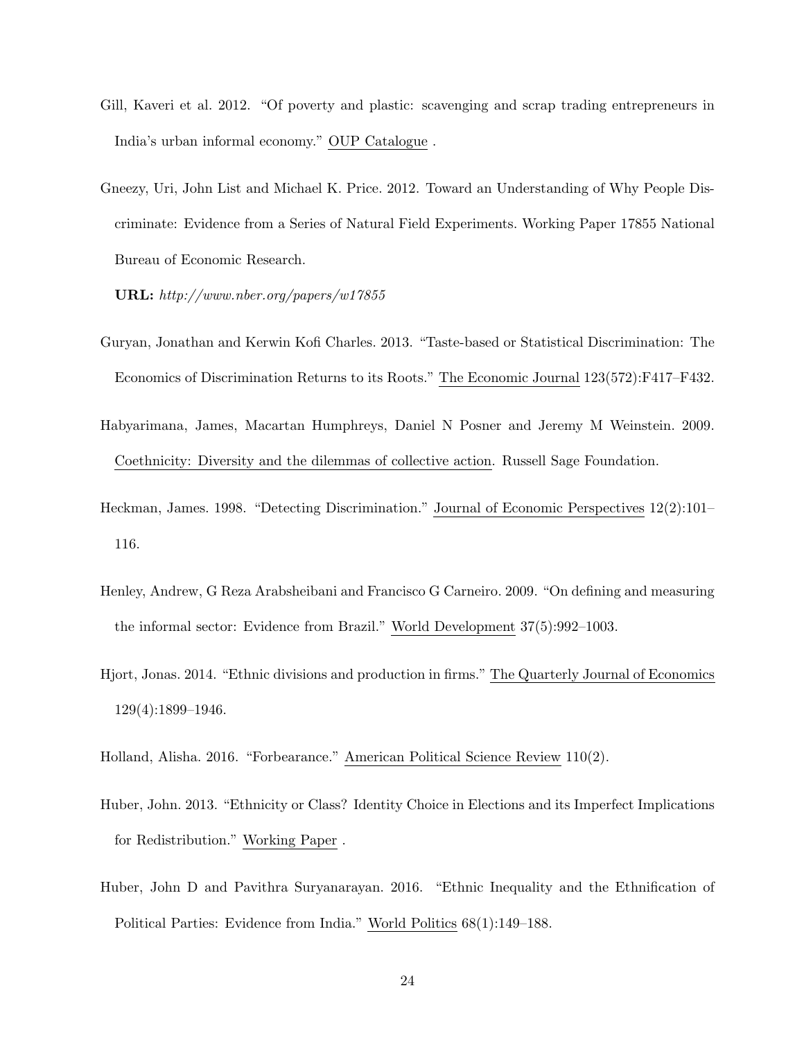- <span id="page-23-3"></span>Gill, Kaveri et al. 2012. "Of poverty and plastic: scavenging and scrap trading entrepreneurs in India's urban informal economy." OUP Catalogue .
- <span id="page-23-7"></span>Gneezy, Uri, John List and Michael K. Price. 2012. Toward an Understanding of Why People Discriminate: Evidence from a Series of Natural Field Experiments. Working Paper 17855 National Bureau of Economic Research.

URL: http://www.nber.org/papers/w17855

- <span id="page-23-0"></span>Guryan, Jonathan and Kerwin Kofi Charles. 2013. "Taste-based or Statistical Discrimination: The Economics of Discrimination Returns to its Roots." The Economic Journal 123(572):F417–F432.
- <span id="page-23-2"></span>Habyarimana, James, Macartan Humphreys, Daniel N Posner and Jeremy M Weinstein. 2009. Coethnicity: Diversity and the dilemmas of collective action. Russell Sage Foundation.
- <span id="page-23-1"></span>Heckman, James. 1998. "Detecting Discrimination." Journal of Economic Perspectives 12(2):101– 116.
- <span id="page-23-8"></span>Henley, Andrew, G Reza Arabsheibani and Francisco G Carneiro. 2009. "On defining and measuring the informal sector: Evidence from Brazil." World Development 37(5):992–1003.
- <span id="page-23-6"></span>Hjort, Jonas. 2014. "Ethnic divisions and production in firms." The Quarterly Journal of Economics 129(4):1899–1946.
- <span id="page-23-5"></span><span id="page-23-4"></span>Holland, Alisha. 2016. "Forbearance." American Political Science Review 110(2).
- Huber, John. 2013. "Ethnicity or Class? Identity Choice in Elections and its Imperfect Implications for Redistribution." Working Paper .
- <span id="page-23-9"></span>Huber, John D and Pavithra Suryanarayan. 2016. "Ethnic Inequality and the Ethnification of Political Parties: Evidence from India." World Politics 68(1):149–188.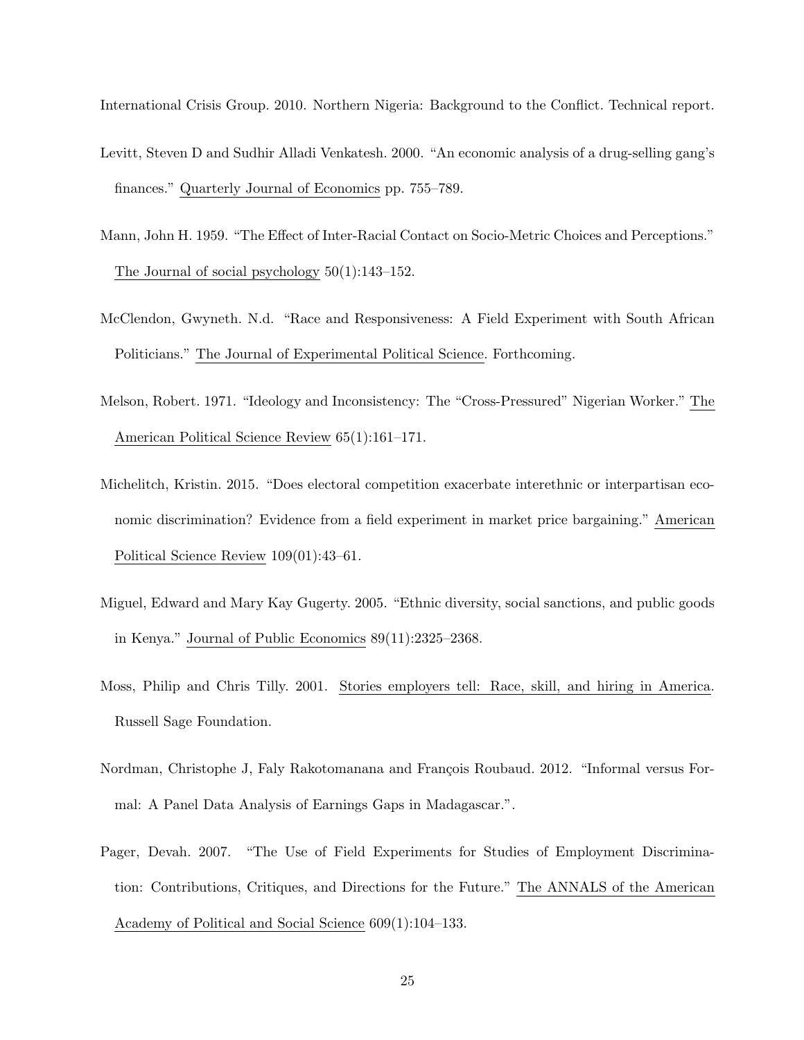<span id="page-24-5"></span>International Crisis Group. 2010. Northern Nigeria: Background to the Conflict. Technical report.

- Levitt, Steven D and Sudhir Alladi Venkatesh. 2000. "An economic analysis of a drug-selling gang's finances." Quarterly Journal of Economics pp. 755–789.
- <span id="page-24-7"></span>Mann, John H. 1959. "The Effect of Inter-Racial Contact on Socio-Metric Choices and Perceptions." The Journal of social psychology 50(1):143–152.
- <span id="page-24-1"></span>McClendon, Gwyneth. N.d. "Race and Responsiveness: A Field Experiment with South African Politicians." The Journal of Experimental Political Science. Forthcoming.
- <span id="page-24-8"></span>Melson, Robert. 1971. "Ideology and Inconsistency: The "Cross-Pressured" Nigerian Worker." The American Political Science Review 65(1):161–171.
- <span id="page-24-2"></span>Michelitch, Kristin. 2015. "Does electoral competition exacerbate interethnic or interpartisan economic discrimination? Evidence from a field experiment in market price bargaining." American Political Science Review 109(01):43–61.
- <span id="page-24-4"></span>Miguel, Edward and Mary Kay Gugerty. 2005. "Ethnic diversity, social sanctions, and public goods in Kenya." Journal of Public Economics 89(11):2325–2368.
- <span id="page-24-0"></span>Moss, Philip and Chris Tilly. 2001. Stories employers tell: Race, skill, and hiring in America. Russell Sage Foundation.
- <span id="page-24-6"></span>Nordman, Christophe J, Faly Rakotomanana and François Roubaud. 2012. "Informal versus Formal: A Panel Data Analysis of Earnings Gaps in Madagascar.".
- <span id="page-24-3"></span>Pager, Devah. 2007. "The Use of Field Experiments for Studies of Employment Discrimination: Contributions, Critiques, and Directions for the Future." The ANNALS of the American Academy of Political and Social Science 609(1):104–133.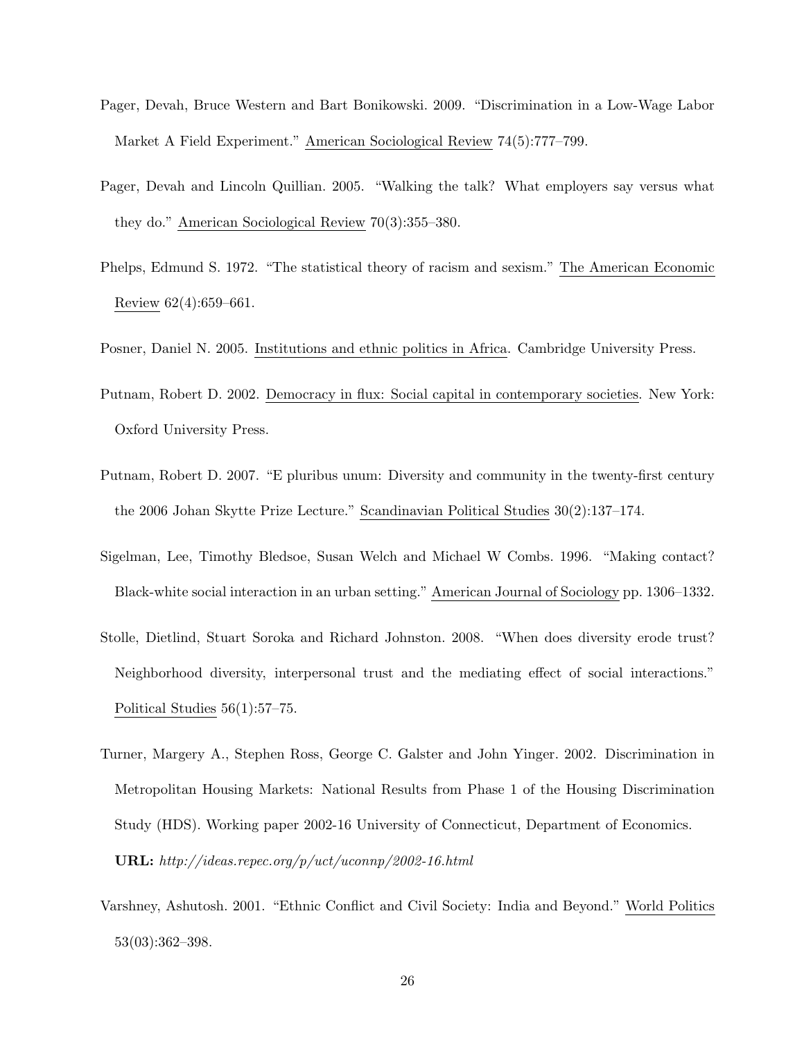- <span id="page-25-1"></span>Pager, Devah, Bruce Western and Bart Bonikowski. 2009. "Discrimination in a Low-Wage Labor Market A Field Experiment." American Sociological Review 74(5):777–799.
- <span id="page-25-0"></span>Pager, Devah and Lincoln Quillian. 2005. "Walking the talk? What employers say versus what they do." American Sociological Review 70(3):355–380.
- <span id="page-25-9"></span>Phelps, Edmund S. 1972. "The statistical theory of racism and sexism." The American Economic Review 62(4):659–661.

<span id="page-25-8"></span><span id="page-25-7"></span>Posner, Daniel N. 2005. Institutions and ethnic politics in Africa. Cambridge University Press.

- Putnam, Robert D. 2002. Democracy in flux: Social capital in contemporary societies. New York: Oxford University Press.
- <span id="page-25-4"></span>Putnam, Robert D. 2007. "E pluribus unum: Diversity and community in the twenty-first century the 2006 Johan Skytte Prize Lecture." Scandinavian Political Studies 30(2):137–174.
- <span id="page-25-3"></span>Sigelman, Lee, Timothy Bledsoe, Susan Welch and Michael W Combs. 1996. "Making contact? Black-white social interaction in an urban setting." American Journal of Sociology pp. 1306–1332.
- <span id="page-25-5"></span>Stolle, Dietlind, Stuart Soroka and Richard Johnston. 2008. "When does diversity erode trust? Neighborhood diversity, interpersonal trust and the mediating effect of social interactions." Political Studies 56(1):57–75.
- <span id="page-25-2"></span>Turner, Margery A., Stephen Ross, George C. Galster and John Yinger. 2002. Discrimination in Metropolitan Housing Markets: National Results from Phase 1 of the Housing Discrimination Study (HDS). Working paper 2002-16 University of Connecticut, Department of Economics. URL: http://ideas.repec.org/p/uct/uconnp/2002-16.html
- <span id="page-25-6"></span>Varshney, Ashutosh. 2001. "Ethnic Conflict and Civil Society: India and Beyond." World Politics 53(03):362–398.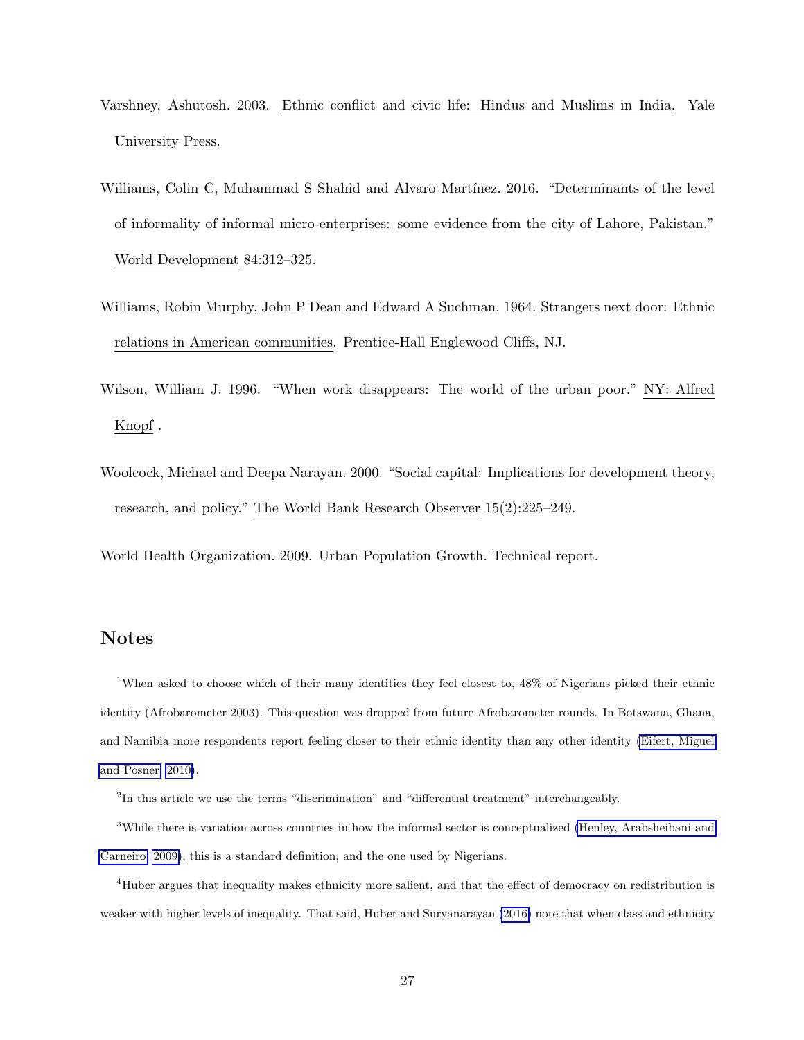- <span id="page-26-4"></span>Varshney, Ashutosh. 2003. Ethnic conflict and civic life: Hindus and Muslims in India. Yale University Press.
- <span id="page-26-1"></span>Williams, Colin C, Muhammad S Shahid and Alvaro Martínez. 2016. "Determinants of the level of informality of informal micro-enterprises: some evidence from the city of Lahore, Pakistan." World Development 84:312–325.
- <span id="page-26-2"></span>Williams, Robin Murphy, John P Dean and Edward A Suchman. 1964. Strangers next door: Ethnic relations in American communities. Prentice-Hall Englewood Cliffs, NJ.
- <span id="page-26-0"></span>Wilson, William J. 1996. "When work disappears: The world of the urban poor." NY: Alfred Knopf .
- <span id="page-26-3"></span>Woolcock, Michael and Deepa Narayan. 2000. "Social capital: Implications for development theory, research, and policy." The World Bank Research Observer 15(2):225–249.

World Health Organization. 2009. Urban Population Growth. Technical report.

### Notes

<sup>1</sup>When asked to choose which of their many identities they feel closest to, 48% of Nigerians picked their ethnic identity (Afrobarometer 2003). This question was dropped from future Afrobarometer rounds. In Botswana, Ghana, and Namibia more respondents report feeling closer to their ethnic identity than any other identity [\(Eifert, Miguel](#page-22-6) [and Posner, 2010\)](#page-22-6).

<sup>2</sup>In this article we use the terms "discrimination" and "differential treatment" interchangeably.

<sup>3</sup>While there is variation across countries in how the informal sector is conceptualized [\(Henley, Arabsheibani and](#page-23-8) [Carneiro, 2009\)](#page-23-8), this is a standard definition, and the one used by Nigerians.

<sup>4</sup>Huber argues that inequality makes ethnicity more salient, and that the effect of democracy on redistribution is weaker with higher levels of inequality. That said, Huber and Suryanarayan [\(2016\)](#page-23-9) note that when class and ethnicity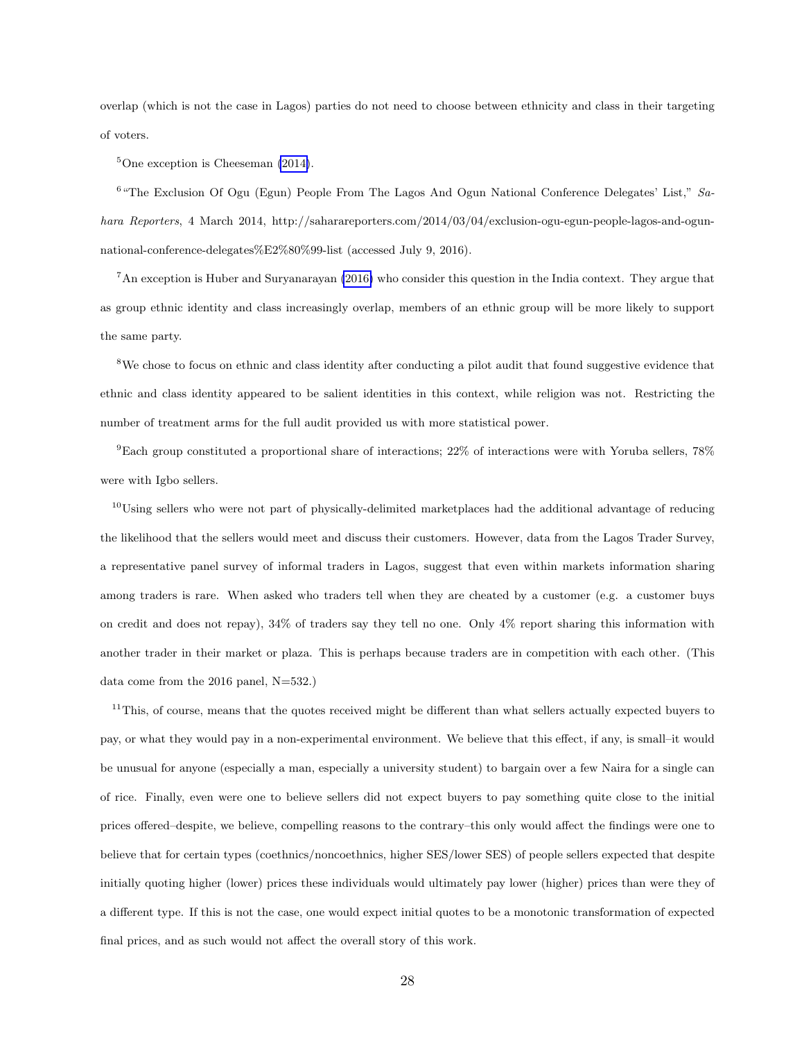overlap (which is not the case in Lagos) parties do not need to choose between ethnicity and class in their targeting of voters.

 ${}^{5}$ One exception is Cheeseman [\(2014\)](#page-21-8).

<sup>6</sup> "The Exclusion Of Ogu (Egun) People From The Lagos And Ogun National Conference Delegates' List," Sahara Reporters, 4 March 2014, http://saharareporters.com/2014/03/04/exclusion-ogu-egun-people-lagos-and-ogunnational-conference-delegates%E2%80%99-list (accessed July 9, 2016).

<sup>7</sup>An exception is Huber and Suryanarayan [\(2016\)](#page-23-9) who consider this question in the India context. They argue that as group ethnic identity and class increasingly overlap, members of an ethnic group will be more likely to support the same party.

<sup>8</sup>We chose to focus on ethnic and class identity after conducting a pilot audit that found suggestive evidence that ethnic and class identity appeared to be salient identities in this context, while religion was not. Restricting the number of treatment arms for the full audit provided us with more statistical power.

<sup>9</sup>Each group constituted a proportional share of interactions; 22% of interactions were with Yoruba sellers,  $78\%$ were with Igbo sellers.

 $10$ Using sellers who were not part of physically-delimited marketplaces had the additional advantage of reducing the likelihood that the sellers would meet and discuss their customers. However, data from the Lagos Trader Survey, a representative panel survey of informal traders in Lagos, suggest that even within markets information sharing among traders is rare. When asked who traders tell when they are cheated by a customer (e.g. a customer buys on credit and does not repay), 34% of traders say they tell no one. Only 4% report sharing this information with another trader in their market or plaza. This is perhaps because traders are in competition with each other. (This data come from the 2016 panel, N=532.)

 $11$ This, of course, means that the quotes received might be different than what sellers actually expected buyers to pay, or what they would pay in a non-experimental environment. We believe that this effect, if any, is small–it would be unusual for anyone (especially a man, especially a university student) to bargain over a few Naira for a single can of rice. Finally, even were one to believe sellers did not expect buyers to pay something quite close to the initial prices offered–despite, we believe, compelling reasons to the contrary–this only would affect the findings were one to believe that for certain types (coethnics/noncoethnics, higher SES/lower SES) of people sellers expected that despite initially quoting higher (lower) prices these individuals would ultimately pay lower (higher) prices than were they of a different type. If this is not the case, one would expect initial quotes to be a monotonic transformation of expected final prices, and as such would not affect the overall story of this work.